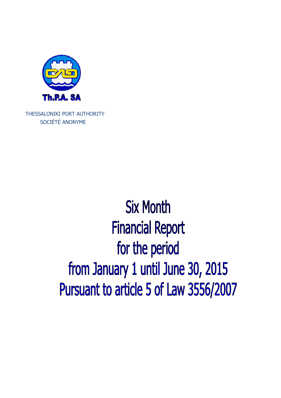

THESSALONIKI PORT AUTHORITY SOCIÉTÉ ANONYME

# **Six Month Financial Report** for the period from January 1 until June 30, 2015 Pursuant to article 5 of Law 3556/2007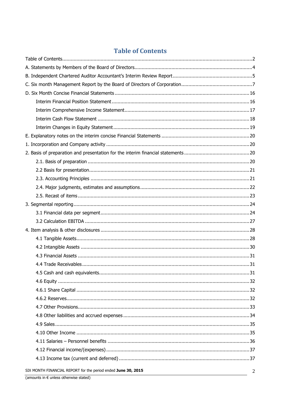### **Table of Contents**

| SIX MONTH FINANCIAL REPORT for the period ended June 30, 2015 | $\mathcal{D}$ |
|---------------------------------------------------------------|---------------|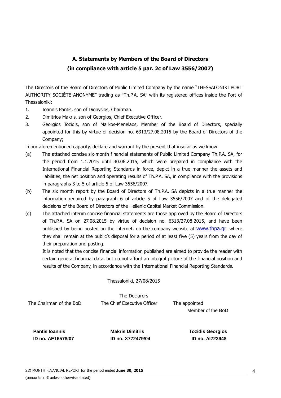### **Α. Statements by Members of the Board of Directors (in compliance with article 5 par. 2c of Law 3556/2007)**

The Directors of the Board of Directors of Public Limited Company by the name "THESSALONIKI PORT AUTHORITY SOCIÉTÉ ANONYME" trading as "Th.P.A. SA" with its registered offices inside the Port of Thessaloniki:

- 1. Ioannis Pantis, son of Dionysios, Chairman.
- 2. Dimitrios Makris, son of Georgios, Chief Executive Officer.
- 3. Georgios Tozidis, son of Markos-Menelaos, Member of the Board of Directors, specially appointed for this by virtue of decision no. 6313/27.08.2015 by the Board of Directors of the Company;

in our aforementioned capacity, declare and warrant by the present that insofar as we know:

- (a) The attached concise six-month financial statements of Public Limited Company Th.P.A. SA, for the period from 1.1.2015 until 30.06.2015, which were prepared in compliance with the International Financial Reporting Standards in force, depict in a true manner the assets and liabilities, the net position and operating results of Th.P.A. SA, in compliance with the provisions in paragraphs 3 to 5 of article 5 of Law 3556/2007.
- (b) The six month report by the Board of Directors of Th.P.A. SA depicts in a true manner the information required by paragraph 6 of article 5 of Law 3556/2007 and of the delegated decisions of the Board of Directors of the Hellenic Capital Market Commission.
- (c) The attached interim concise financial statements are those approved by the Board of Directors of Th.P.A. SA on 27.08.2015 by virtue of decision no. 6313/27.08.2015, and have been published by being posted on the internet, on the company website at www.thpa.gr, where they shall remain at the public's disposal for a period of at least five (5) years from the day of their preparation and posting.

It is noted that the concise financial information published are aimed to provide the reader with certain general financial data, but do not afford an integral picture of the financial position and results of the Company, in accordance with the International Financial Reporting Standards.

Thessaloniki, 27/08/2015

The Declarers The Chairman of the BoD The Chief Executive Officer The appointed

Member of the BoD

 **Pantis Ioannis Community Community Community Pantis Ioannis Community Pantis Ioannis Community Pantis Pantis I** 

 **ID no. AE16578/07 ID no. X772479/04 ID no. AI723948**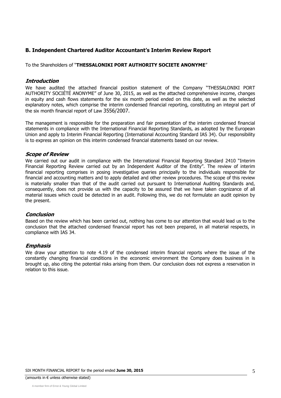### **Β. Independent Chartered Auditor Accountant's Interim Review Report**

To the Shareholders of "**THESSALONIKI PORT AUTHORITY SOCIETE ANONYME**"

### **Introduction**

We have audited the attached financial position statement of the Company "THESSALONIKI PORT AUTHORITY SOCIÉTÉ ANONYME" of June 30, 2015, as well as the attached comprehensive income, changes in equity and cash flows statements for the six month period ended on this date, as well as the selected explanatory notes, which comprise the interim condensed financial reporting, constituting an integral part of the six month financial report of Law 3556/2007.

The management is responsible for the preparation and fair presentation of the interim condensed financial statements in compliance with the International Financial Reporting Standards, as adopted by the European Union and apply to Interim Financial Reporting (International Accounting Standard IAS 34). Our responsibility is to express an opinion on this interim condensed financial statements based on our review.

### **Scope of Review**

We carried out our audit in compliance with the International Financial Reporting Standard 2410 "Interim Financial Reporting Review carried out by an Independent Auditor of the Entity". The review of interim financial reporting comprises in posing investigative queries principally to the individuals responsible for financial and accounting matters and to apply detailed and other review procedures. The scope of this review is materially smaller than that of the audit carried out pursuant to International Auditing Standards and, consequently, does not provide us with the capacity to be assured that we have taken cognizance of all material issues which could be detected in an audit. Following this, we do not formulate an audit opinion by the present.

### **Conclusion**

Based on the review which has been carried out, nothing has come to our attention that would lead us to the conclusion that the attached condensed financial report has not been prepared, in all material respects, in compliance with IAS 34.

### **Emphasis**

We draw your attention to note 4.19 of the condensed interim financial reports where the issue of the constantly changing financial conditions in the economic environment the Company does business in is brought up, also citing the potential risks arising from them. Our conclusion does not express a reservation in relation to this issue.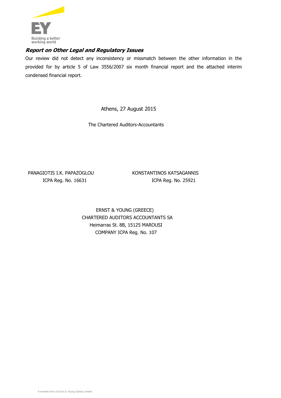

### **Report on Other Legal and Regulatory Issues**

Our review did not detect any inconsistency or missmatch between the other information in the provided for by article 5 of Law 3556/2007 six month financial report and the attached interim condensed financial report.

Athens, 27 August 2015

The Chartered Auditors-Accountants

PANAGIOTIS I.K. PAPAZOGLOU KONSTANTINOS KATSAGANNIS

ICPA Reg. No. 16631 ICPA Reg. No. 25921

ERNST & YOUNG (GREECE) CHARTERED AUDITORS ACCOUNTANTS SΑ Heimarras St. 8B, 15125 MAROUSI COMPANY ICPA Reg. No. 107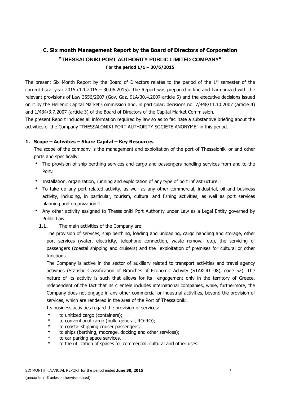### **C. Six month Management Report by the Board of Directors of Corporation "THESSALONIKI PORT AUTHORITY PUBLIC LIMITED COMPANY" For the period 1/1 – 30/6/2015**

The present Six Month Report by the Board of Directors relates to the period of the  $1<sup>st</sup>$  semester of the current fiscal year 2015 (1.1.2015 – 30.06.2015). The Report was prepared in line and harmonized with the relevant provisions of Law 3556/2007 (Gov. Gaz. 91Α/30.4.2007-article 5) and the executive decisions issued on it by the Hellenic Capital Market Commission and, in particular, decisions no. 7/448/11.10.2007 (article 4) and 1/434/3.7.2007 (article 3) of the Board of Directors of the Capital Market Commission.

The present Report includes all information required by law so as to facilitate a substantive briefing about the activities of the Company "THESSALONIKI PORT AUTHORITY SOCIETE ANONYME" in this period.

### **1. Scope – Activities – Share Capital – Key Resources**

The scope of the company is the management and exploitation of the port of Thessaloniki or and other ports and specifically:

- The provision of ship berthing services and cargo and passengers handling services from and to the Port.<sub>[1]</sub>
- Installation, organization, running and exploitation of any type of port infrastructure.
- To take up any port related activity, as well as any other commercial, industrial, oil and business activity, including, in particular, tourism, cultural and fishing activities, as well as port services planning and organization.
- Any other activity assigned to Thessaloniki Port Authority under Law as a Legal Entity governed by Public Law.
	- **1.1.** The main activities of the Company are:

The provision of services, ship berthing, loading and unloading, cargo handling and storage, other port services (water, electricity, telephone connection, waste removal etc), the servicing of passengers (coastal shipping and cruisers) and the exploitation of premises for cultural or other functions.

The Company is active in the sector of auxiliary related to transport activities and travel agency activities (Statistic Classification of Branches of Economic Activity (STAKOD '08), code 52). The nature of its activity is such that allows for its engagement only in the territory of Greece, independent of the fact that its clientele includes international companies, while, furthermore, the Company does not engage in any other commercial or industrial activities, beyond the provision of services, which are rendered in the area of the Port of Thessaloniki.

Its business activities regard the provision of services:

- to unitized cargo (containers);
- to conventional cargo (bulk, general, RO-RO);
- to coastal shipping cruiser passengers;
- to ships (berthing, moorage, docking and other services);
- to car parking space services,
- to the utilization of spaces for commercial, cultural and other uses.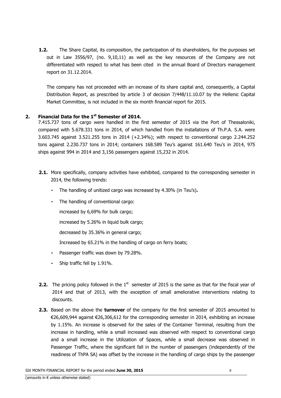**1.2.** The Share Capital, its composition, the participation of its shareholders, for the purposes set out in Law 3556/97, (no. 9,10,11) as well as the key resources of the Company are not differentiated with respect to what has been cited in the annual Board of Directors management report on 31.12.2014.

The company has not proceeded with an increase of its share capital and, consequently, a Capital Distribution Report, as prescribed by article 3 of decision 7/448/11.10.07 by the Hellenic Capital Market Committee, is not included in the six month financial report for 2015.

### **2. Financial Data for the 1st Semester of 2014.**

7.415.737 tons of cargo were handled in the first semester of 2015 via the Port of Thessaloniki, compared with 5.678.331 tons in 2014, of which handled from the installations of Th.P.A. S.A. were 3.603.745 against 3.521.255 tons in 2014 (+2.34%); with respect to conventional cargo 2.244.252 tons against 2.230.737 tons in 2014; containers 168.589 Teu's against 161.640 Teu's in 2014, 975 ships against 994 in 2014 and 3,156 passengers against 15,232 in 2014.

- **2.1.** More specifically, company activities have exhibited, compared to the corresponding semester in 2014, the following trends:
	- The handling of unitized cargo was increased by 4.30% (in Teu's)**.**
	- The handling of conventional cargo:
		- increased by 6,69% for bulk cargo;

increased by 5.26% in liquid bulk cargo;

decreased by 35.36% in general cargo;

Increased by 65.21% in the handling of cargo on ferry boats;

- Passenger traffic was down by 79.28%.
- Ship traffic fell by 1.91%.
- **2.2.** The pricing policy followed in the 1<sup>st</sup> semester of 2015 is the same as that for the fiscal year of 2014 and that of 2013, with the exception of small ameliorative interventions relating to discounts.
- **2.3.** Based on the above the **turnover** of the company for the first semester of 2015 amounted to €26,609,944 against €26,306,612 for the corresponding semester in 2014, exhibiting an increase by 1.15%. An increase is observed for the sales of the Container Terminal, resulting from the increase in handling, while a small increased was observed with respect to conventional cargo and a small increase in the Utilization of Spaces, while a small decrease was observed in Passenger Traffic, where the significant fall in the number of passengers (independently of the readiness of ThPA SA) was offset by the increase in the handling of cargo ships by the passenger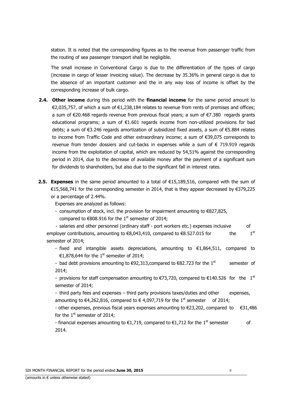station. It is noted that the corresponding figures as to the revenue from passenger traffic from the routing of sea passenger transport shall be negligible.

 The small increase in Conventional Cargo is due to the differentiation of the types of cargo (increase in cargo of lesser invoicing value). The decrease by 35.36% in general cargo is due to the absence of an important customer and the in any way loss of income is offset by the corresponding increase of bulk cargo.

- **2.4. Other income** during this period with the **financial income** for the same period amount to €2,035,757, of which a sum of €1,238,184 relates to revenue from rents of premises and offices; a sum of €20.468 regards revenue from previous fiscal years; a sum of €7.380 regards grants educational programs; a sum of €1.601 regards income from non-utilized provisions for bad debts; a sum of €3.246 regards amortization of subsidized fixed assets, a sum of €5.884 relates to income from Traffic Code and other extraordinary income; a sum of €39,075 corresponds to revenue from tender dossiers and cut-backs in expenses while a sum of  $\epsilon$  719.919 regards income from the exploitation of capital, which are reduced by 54,51% against the corresponding period in 2014, due to the decrease of available money after the payment of a significant sum for dividends to shareholders, but also due to the significant fall in interest rates.
- **2.5. Expenses** in the same period amounted to a total of €15,189,516, compared with the sum of €15,568,741 for the corresponding semester in 2014, that is they appear decreased by €379,225 or a percentage of 2.44%.

Expenses are analyzed as follows:

- consumption of stock, incl. the provision for impairment amounting to €827,825, compared to  $\epsilon$ 808.916 for the 1<sup>st</sup> semester of 2014;

- salaries and other personnel (ordinary staff - port workers etc.) expenses inclusive of employer contributions, amounting to €8,043,410, compared to €8.527.015 for the 1<sup>st</sup> semester of 2014;

- fixed and intangible assets depreciations, amounting to  $\epsilon$ 1,864,511, compared to €1,878,644 for the 1<sup>st</sup> semester of 2014;

- bad debt provisions amounting to  $\epsilon$ 92,313,compared to  $\epsilon$ 82.723 for the 1<sup>st</sup> semester of 2014;

- provisions for staff compensation amounting to  $\epsilon$ 73,720, compared to  $\epsilon$ 140.526 for the 1<sup>st</sup> semester of 2014;

- third party fees and expenses – third party provisions taxes/duties and other expenses, amounting to €4,262,816, compared to €4,097,719 for the 1<sup>st</sup> semester of 2014;

- other expenses, previous fiscal years expenses amounting to €23,202, compared to €31,486 for the  $1<sup>st</sup>$  semester of 2014;

- financial expenses amounting to  $\epsilon$ 1,719, compared to  $\epsilon$ 1,712 for the 1<sup>st</sup> semester of 2014.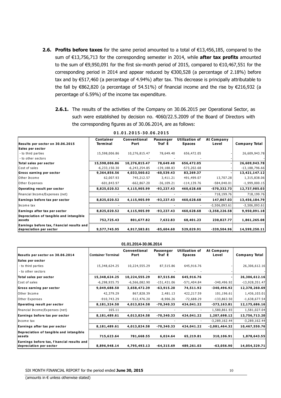- **2.6. Profits before taxes** for the same period amounted to a total of €13,456,185, compared to the sum of €13,756,713 for the corresponding semester in 2014, while **after tax profits** amounted to the sum of €9,950,091 for the first six-month period of 2015, compared to €10,467,551 for the corresponding period in 2014 and appear reduced by €300,528 (a percentage of 2.18%) before tax and by €517,460 (a percentage of 4.94%) after tax. This decrease is principally attributable to the fall by €862,820 (a percentage of 54.51%) of financial income and the rise by €216,932 (a percentage of 6.59%) of the income tax expenditure.
	- **2.6.1.** The results of the activities of the Company on 30.06.2015 per Operational Sector, as such were established by decision no. 4060/22.5.2009 of the Board of Directors with the corresponding figures as of 30.06.2014, are as follows:

| Results per sector on 30.06.2015           | <b>Container</b><br><b>Terminal</b> | <b>Conventional</b><br>Port | Passenger<br>Traf t | <b>Utilization of</b><br><b>Spaces</b> | At Company<br>Level | <b>Company Total</b> |
|--------------------------------------------|-------------------------------------|-----------------------------|---------------------|----------------------------------------|---------------------|----------------------|
| Sales per sector                           |                                     |                             |                     |                                        |                     |                      |
| - to third parties                         | 15,598,006.86                       | 10,276,815.47               | 78,649.40           | 656,472.05                             |                     | 26,609,943.78        |
| - to other sectors                         |                                     |                             |                     |                                        |                     |                      |
| Total sales per sector                     | 15,598,006.86                       | 10,276,815.47               | 78,649.40           | 656,472.05                             |                     | 26,609,943.78        |
| Cost of sales                              | $-6,233,150.30$                     | $-6, 243, 254.85$           | $-139, 188.83$      | $-573,202.68$                          |                     | $-13,188,796.66$     |
| Gross earning per sector                   | 9,364,856.56                        | 4,033,560.62                | $-60,539.43$        | 83,269.37                              |                     | 13,421,147.12        |
| Other Income                               | 62,007.93                           | 745,212.57                  | 3,411.21            | 491,499.07                             | 13,707.28           | 1,315,838.06         |
| Other Expenses                             | $-601,843.97$                       | $-662,867.20$               | $-36,109.21$        | $-114, 139.76$                         | $-584,040.01$       | $-1,999,000.15$      |
| Operating result per sector                | 8,825,020.52                        | 4,115,905.99                | $-93,237.43$        | 460,628.68                             | $-570,332.73$       | 12,737,985.03        |
| Financial Income/Expenses (net)            |                                     |                             |                     |                                        | 718,199.76          | 718,199.76           |
| Earnings before tax per sector             | 8,825,020.52                        | 4,115,905.99                | $-93,237.43$        | 460,628.68                             | 147,867.03          | 13,456,184.79        |
| Income tax                                 |                                     |                             |                     |                                        | $-3,506,093.61$     | $-3,506,093.61$      |
| Earnings after tax per sector              | 8,825,020.52                        | 4,115,905.99                | $-93,237.43$        | 460,628.68                             | $-3,358,226.58$     | 9,950,091.18         |
| Depreciation of tangible and intangible    |                                     |                             |                     |                                        |                     |                      |
| assets                                     | 752,725.43                          | 801,677.82                  | 7,632.83            | 68,401.23                              | 230,827.77          | 1,861,265.08         |
| Earnings before tax, f hancial results and |                                     |                             |                     |                                        |                     |                      |
| depreciation per sector                    | 9,577,745.95                        | 4,917,583.81                | $-85,604.60$        | 529,029.91                             | $-339,504.96$       | 14,599,250.11        |

| 01.01.2015-30.06.2015 |  |  |  |  |  |  |  |  |  |  |  |  |  |  |  |  |  |  |  |  |
|-----------------------|--|--|--|--|--|--|--|--|--|--|--|--|--|--|--|--|--|--|--|--|
|-----------------------|--|--|--|--|--|--|--|--|--|--|--|--|--|--|--|--|--|--|--|--|

|                                                                       |                           | 01.01.2014-30.06.2014 |                     |                                        |                     |                      |
|-----------------------------------------------------------------------|---------------------------|-----------------------|---------------------|----------------------------------------|---------------------|----------------------|
| Resutis per sector on 30.06.2014                                      | <b>Container Terminal</b> | Conventional<br>Port  | Passenger<br>Traf t | <b>Utilization of</b><br><b>Spaces</b> | At Company<br>Level | <b>Company Total</b> |
| Sales per sector                                                      |                           |                       |                     |                                        |                     |                      |
| - to third parties                                                    | 15,348,624.25             | 10,224,555.29         | 87,515.86           | 645,916.76                             |                     | 26,306,612.16        |
| - to other sectors                                                    |                           |                       |                     |                                        |                     |                      |
| Total sales per sector                                                | 15,348,624.25             | 10,224,555.29         | 87,515.86           | 645,916.76                             |                     | 26,306,612.16        |
| Cost of sales                                                         | $-6,298,935.75$           | $-6,566,082.90$       | $-151,431.06$       | $-571,404.84$                          | $-340,496.92$       | $-13,928,351.47$     |
| Gross earning per sector                                              | 9,049,688.50              | 3,658,472.39          | $-63,915.20$        | 74,511.92                              | -340,496.92         | 12,378,260.69        |
| lOther Income                                                         | 42,379.29                 | 867,828.39            | 2,481.13            | 422,217.59                             | 101,196.61          | 1,436,103.01         |
| Other Expenses                                                        | $-910,743.29$             | $-512,476.20$         | $-8,906.26$         | $-72,688.29$                           | $-133,863.50$       | $-1,638,677.54$      |
| Operating result per sector                                           | 8,181,324.50              | 4,013,824.58          | $-70,340.33$        | 424,041.22                             | $-373,163.81$       | 12,175,686.16        |
| Financial Income/Expenses (net)                                       | 165.11                    |                       |                     |                                        | 1,580,861.93        | 1,581,027.04         |
| Earnings before tax per sector                                        | 8,181,489.61              | 4,013,824.58          | $-70,340.33$        | 424,041.22                             | 1,207,698.12        | 13,756,713.20        |
| Income tax                                                            |                           |                       |                     |                                        | $-3,289,162.44$     | $-3,289,162.44$      |
| Earnings after tax per sector                                         | 8,181,489.61              | 4,013,824.58          | $-70,340.33$        | 424,041.22                             | $-2,081,464.32$     | 10,467,550.76        |
| Depreciation of tangible and intangible<br>lassets                    | 715,623.64                | 781,668.55            | 6,024.64            | 65,219.81                              | 310,106.91          | 1,878,643.55         |
| Earnings before tax, f hancial results and<br>depreciation per sector | 8,896,948.14              | 4,795,493.13          | $-64,315.69$        | 489,261.03                             | $-63,056.90$        | 14,054,329.71        |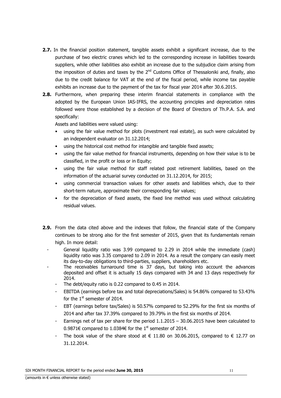- **2.7.** In the financial position statement, tangible assets exhibit a significant increase, due to the purchase of two electric cranes which led to the corresponding increase in liabilities towards suppliers, while other liabilities also exhibit an increase due to the subjudice claim arising from the imposition of duties and taxes by the  $2<sup>nd</sup>$  Customs Office of Thessaloniki and, finally, also due to the credit balance for VAT at the end of the fiscal period, while income tax payable exhibits an increase due to the payment of the tax for fiscal year 2014 after 30.6.2015.
- **2.8.** Furthermore, when preparing these interim financial statements in compliance with the adopted by the European Union IAS-IFRS, the accounting principles and depreciation rates followed were those established by a decision of the Board of Directors of Th.P.A. S.A. and specifically:

Assets and liabilities were valued using:

- using the fair value method for plots (investment real estate), as such were calculated by an independent evaluator on 31.12.2014;
- using the historical cost method for intangible and tangible fixed assets;
- using the fair value method for financial instruments, depending on how their value is to be classified, in the profit or loss or in Equity;
- using the fair value method for staff related post retirement liabilities, based on the information of the actuarial survey conducted on 31.12.2014, for 2015;
- using commercial transaction values for other assets and liabilities which, due to their short-term nature, approximate their corresponding fair values;
- for the depreciation of fixed assets, the fixed line method was used without calculating residual values.
- **2.9.** From the data cited above and the indexes that follow, the financial state of the Company continues to be strong also for the first semester of 2015, given that its fundamentals remain high. In more detail:
	- General liquidity ratio was 3.99 compared to 2.29 in 2014 while the immediate (cash) liquidity ratio was 3.35 compared to 2.09 in 2014. As a result the company can easily meet its day-to-day obligations to third-parties, suppliers, shareholders etc.
	- The receivables turnaround time is 37 days, but taking into account the advances deposited and offset it is actually 15 days compared with 34 and 13 days respectively for 2014.
		- The debt/equity ratio is 0.22 compared to 0.45 in 2014.
		- EBITDA (earnings before tax and total depreciations/Sales) is 54.86% compared to 53.43% for the  $1<sup>st</sup>$  semester of 2014.
		- EBT (earnings before tax/Sales) is 50.57% compared to 52.29% for the first six months of 2014 and after tax 37.39% compared to 39.79% in the first six months of 2014.
		- Earnings net of tax per share for the period  $1.1.2015 30.06.2015$  have been calculated to 0.9871€ compared to 1.0384€ for the 1<sup>st</sup> semester of 2014.
		- The book value of the share stood at  $\epsilon$  11.80 on 30.06.2015, compared to  $\epsilon$  12.77 on 31.12.2014.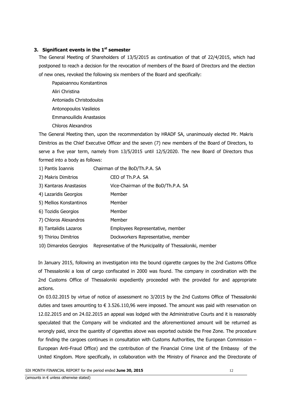### **3. Significant events in the 1st semester**

The General Meeting of Shareholders of 13/5/2015 as continuation of that of 22/4/2015, which had postponed to reach a decision for the revocation of members of the Board of Directors and the election of new ones, revoked the following six members of the Board and specifically:

Papaioannou Konstantinos Aliri Christina Antoniadis Christodoulos Antonopoulos Vasileios Emmanouilidis Anastasios Chloros Alexandros

The General Meeting then, upon the recommendation by HRADF SA, unanimously elected Mr. Makris Dimitrios as the Chief Executive Officer and the seven (7) new members of the Board of Directors, to serve a five year term, namely from 13/5/2015 until 12/5/2020. The new Board of Directors thus formed into a body as follows:

| 1) Pantis Ioannis       | Chairman of the BoD/Th.P.A. SA                             |
|-------------------------|------------------------------------------------------------|
| 2) Makris Dimitrios     | CEO of Th.P.A. SA                                          |
| 3) Kantaras Anastasios  | Vice-Chairman of the BoD/Th.P.A. SA                        |
| 4) Lazaridis Georgios   | Member                                                     |
| 5) Mellios Konstantinos | Member                                                     |
| 6) Tozidis Georgios     | Member                                                     |
| 7) Chloros Alexandros   | Member                                                     |
| 8) Tantalidis Lazaros   | Employees Representative, member                           |
| 9) Thiriou Dimitrios    | Dockworkers Representative, member                         |
| 10) Dimarelos Georgios  | Representative of the Municipality of Thessaloniki, member |

In January 2015, following an investigation into the bound cigarette cargoes by the 2nd Customs Office of Thessaloniki a loss of cargo confiscated in 2000 was found. The company in coordination with the 2nd Customs Office of Thessaloniki expediently proceeded with the provided for and appropriate actions.

On 03.02.2015 by virtue of notice of assessment no 3/2015 by the 2nd Customs Office of Thessaloniki duties and taxes amounting to  $\epsilon$  3.526.110,96 were imposed. The amount was paid with reservation on 12.02.2015 and on 24.02.2015 an appeal was lodged with the Administrative Courts and it is reasonably speculated that the Company will be vindicated and the aforementioned amount will be returned as wrongly paid, since the quantity of cigarettes above was exported outside the Free Zone. The procedure for finding the cargoes continues in consultation with Customs Authorities, the European Commission – European Anti-Fraud Office) and the contribution of the Financial Crime Unit of the Embassy of the United Kingdom. More specifically, in collaboration with the Ministry of Finance and the Directorate of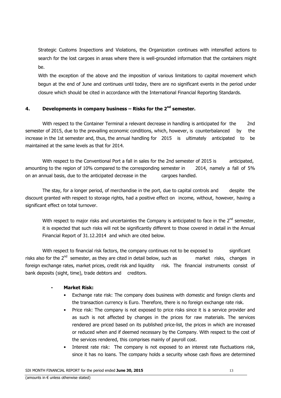Strategic Customs Inspections and Violations, the Organization continues with intensified actions to search for the lost cargoes in areas where there is well-grounded information that the containers might be.

With the exception of the above and the imposition of various limitations to capital movement which begun at the end of June and continues until today, there are no significant events in the period under closure which should be cited in accordance with the International Financial Reporting Standards.

### **4. Developments in company business – Risks for the 2nd semester.**

 With respect to the Container Terminal a relevant decrease in handling is anticipated for the 2nd semester of 2015, due to the prevailing economic conditions, which, however, is counterbalanced by the increase in the 1st semester and, thus, the annual handling for 2015 is ultimately anticipated to be maintained at the same levels as that for 2014.

With respect to the Conventional Port a fall in sales for the 2nd semester of 2015 is anticipated, amounting to the region of 10% compared to the corresponding semester in 2014, namely a fall of 5% on an annual basis, due to the anticipated decrease in the cargoes handled.

 The stay, for a longer period, of merchandise in the port, due to capital controls and despite the discount granted with respect to storage rights, had a positive effect on income, without, however, having a significant effect on total turnover.

With respect to major risks and uncertainties the Company is anticipated to face in the  $2^{nd}$  semester, it is expected that such risks will not be significantly different to those covered in detail in the Annual Financial Report of 31.12.2014 and which are cited below.

With respect to financial risk factors, the company continues not to be exposed to significant risks also for the  $2<sup>nd</sup>$  semester, as they are cited in detail below, such as market risks, changes in foreign exchange rates, market prices, credit risk and liquidity risk. The financial instruments consist of bank deposits (sight, time), trade debtors and creditors.

### **- Market Risk:**

- Exchange rate risk: The company does business with domestic and foreign clients and the transaction currency is Euro. Therefore, there is no foreign exchange rate risk.
- Price risk: The company is not exposed to price risks since it is a service provider and as such is not affected by changes in the prices for raw materials. The services rendered are priced based on its published price-list, the prices in which are increased or reduced when and if deemed necessary by the Company. With respect to the cost of the services rendered, this comprises mainly of payroll cost.
- Interest rate risk: The company is not exposed to an interest rate fluctuations risk, since it has no loans. The company holds a security whose cash flows are determined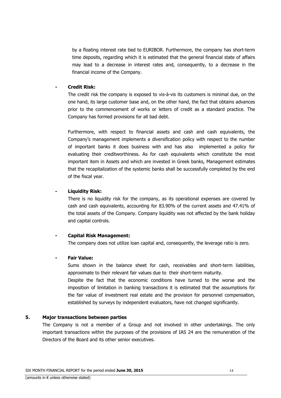by a floating interest rate tied to EURIBOR. Furthermore, the company has short-term time deposits, regarding which it is estimated that the general financial state of affairs may lead to a decrease in interest rates and, consequently, to a decrease in the financial income of the Company.

### **- Credit Risk:**

The credit risk the company is exposed to vis-à-vis its customers is minimal due, on the one hand, its large customer base and, on the other hand, the fact that obtains advances prior to the commencement of works or letters of credit as a standard practice. The Company has formed provisions for all bad debt.

Furthermore, with respect to financial assets and cash and cash equivalents, the Company's management implements a diversification policy with respect to the number of important banks it does business with and has also implemented a policy for evaluating their creditworthiness. As for cash equivalents which constitute the most important item in Assets and which are invested in Greek banks, Management estimates that the recapitalization of the systemic banks shall be successfully completed by the end of the fiscal year.

### **- Liquidity Risk:**

There is no liquidity risk for the company, as its operational expenses are covered by cash and cash equivalents, accounting for 83.90% of the current assets and 47.41% of the total assets of the Company. Company liquidity was not affected by the bank holiday and capital controls.

### **- Capital Risk Management:**

The company does not utilize loan capital and, consequently, the leverage ratio is zero.

### **- Fair Value:**

Sums shown in the balance sheet for cash, receivables and short-term liabilities, approximate to their relevant fair values due to their short-term maturity. Despite the fact that the economic conditions have turned to the worse and the imposition of limitation in banking transactions it is estimated that the assumptions for the fair value of investment real estate and the provision for personnel compensation, established by surveys by independent evaluators, have not changed significantly.

### **5. Major transactions between parties**

The Company is not a member of a Group and not involved in other undertakings. The only important transactions within the purposes of the provisions of IAS 24 are the remuneration of the Directors of the Board and its other senior executives.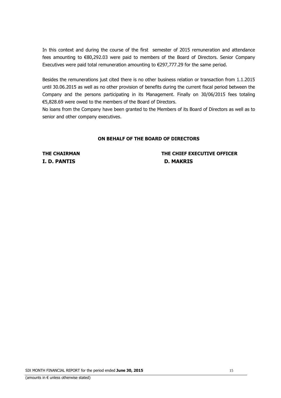In this context and during the course of the first semester of 2015 remuneration and attendance fees amounting to €80,292.03 were paid to members of the Board of Directors. Senior Company Executives were paid total remuneration amounting to  $\epsilon$ 297,777.29 for the same period.

Besides the remunerations just cited there is no other business relation or transaction from 1.1.2015 until 30.06.2015 as well as no other provision of benefits during the current fiscal period between the Company and the persons participating in its Management. Finally on 30/06/2015 fees totaling €5,828.69 were owed to the members of the Board of Directors.

No loans from the Company have been granted to the Members of its Board of Directors as well as to senior and other company executives.

### **ON BEHALF OF THE BOARD OF DIRECTORS**

**I. D. PANTIS D. MAKRIS** 

## **THE CHAIRMAN THE CHIEF EXECUTIVE OFFICER**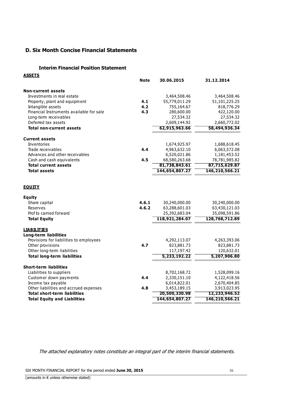### **D. Six Month Concise Financial Statements**

#### **Interim Financial Position Statement**

| <u>ASSETS</u>                                                                 | <b>Note</b> | 30.06.2015                 | 31.12.2014                 |
|-------------------------------------------------------------------------------|-------------|----------------------------|----------------------------|
| <b>Non-current assets</b>                                                     |             |                            |                            |
| Investments in real estate                                                    |             | 3,464,508.46               | 3,464,508.46               |
| Property, plant and equipment                                                 | 4.1         | 55,779,011.29              | 51,101,225.25              |
| Intangible assets                                                             | 4.2         | 755,164.67                 | 818,776.29                 |
| Financial Instruments available for sale                                      | 4.3         | 280,600.00                 | 422,120.00                 |
| Long-term receivables                                                         |             | 27,534.32                  | 27,534.32                  |
| Deferred tax assets                                                           |             | 2,609,144.92               | 2,660,772.02               |
| <b>Total non-current assets</b>                                               |             | 62,915,963.66              | 58,494,936.34              |
| <b>Current assets</b>                                                         |             |                            |                            |
| Inventories                                                                   |             | 1,674,925.97               | 1,688,618.45               |
| Trade receivables                                                             | 4.4         | 4,963,632.10               | 6,063,572.08               |
| Advances and other receivables                                                |             | 6,520,021.86               | 1,181,453.52               |
| Cash and cash equivalents                                                     | 4.5         | 68,580,263.68              | 78,781,985.82              |
| <b>Total current assets</b>                                                   |             | 81,738,843.61              | 87,715,629.87              |
| <b>Total assets</b>                                                           |             | 144,654,807.27             | 146,210,566.21             |
| <b>EQUITY</b>                                                                 |             |                            |                            |
| <b>Equity</b>                                                                 |             |                            |                            |
| Share capital                                                                 | 4.6.1       | 30,240,000.00              | 30,240,000.00              |
| Reserves                                                                      | 4.6.2       | 63,288,601.03              | 63,430,121.03              |
| Prof ts carried forward                                                       |             | 25,392,683.04              | 35,098,591.86              |
| <b>Total Equity</b>                                                           |             | 118,921,284.07             | 128,768,712.89             |
| <b>LIABILITIES</b>                                                            |             |                            |                            |
| <b>Long-term liabilities</b>                                                  |             |                            |                            |
| Provisions for liabilities to employees<br>Other provisions                   | 4.7         | 4,292,113.07<br>823,881.73 | 4,263,393.06<br>823,881.73 |
| Other long-term liabilities                                                   |             | 117,197.42                 | 120,632.01                 |
| <b>Total long-term liabilities</b>                                            |             | 5,233,192.22               | 5,207,906.80               |
|                                                                               |             |                            |                            |
| <b>Short-term liabilities</b>                                                 |             |                            |                            |
| Liabilities to suppliers                                                      |             | 8,702,168.72               | 1,528,099.16               |
| Customer down payments                                                        | 4.4         | 2,330,151.10               | 4,122,418.56               |
| Income tax payable                                                            |             | 6,014,822.01               | 2,670,404.85               |
| Other liabilities and accrued expenses<br><b>Total short-term liabilities</b> | 4.8         | 3,453,189.15               | 3,913,023.95               |
|                                                                               |             | 20,500,330.98              | 12,233,946.52              |
| <b>Total Equity and Liabilities</b>                                           |             | 144,654,807.27             | 146,210,566.21             |

The attached explanatory notes constitute an integral part of the interim financial statements.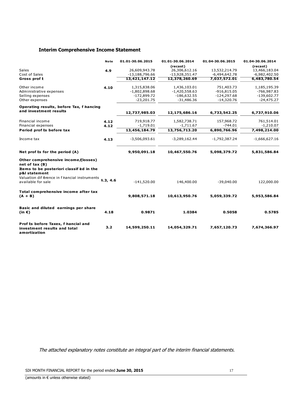### **Interim Comprehensive Income Statement**

|                                                                                     | <b>Note</b> | 01.01-30.06.2015 | 01.01-30.06.2014          | 01.04-30.06.2015 | 01.04-30.06.2014          |
|-------------------------------------------------------------------------------------|-------------|------------------|---------------------------|------------------|---------------------------|
| Sales                                                                               | 4.9         | 26,609,943.78    | (recast)<br>26,306,612.16 | 13,532,214.79    | (recast)<br>13,466,183.04 |
| <b>Cost of Sales</b>                                                                |             | $-13,188,796.66$ | $-13,928,351.47$          | $-6,494,642.78$  | $-6,982,402.50$           |
| Gross prof t                                                                        |             | 13,421,147.12    | 12,378,260.69             | 7,037,572.01     | 6,483,780.54              |
| Other income                                                                        | 4.10        | 1,315,838.06     | 1,436,103.01              | 751,403.73       | 1,185,195.39              |
| Administrative expenses                                                             |             | $-1,802,898.68$  | $-1,420,558.63$           | $-916,815.05$    | $-766,987.83$             |
| Selling expenses                                                                    |             | $-172,899.72$    | $-186,632.55$             | $-124,297.68$    | $-139,602.77$             |
| Other expenses                                                                      |             | $-23,201.75$     | $-31,486.36$              | $-14,320.76$     | $-24,475.27$              |
| Operating results, before Tax, f hancing                                            |             |                  |                           |                  |                           |
| and investment results                                                              |             | 12,737,985.03    | 12,175,686.16             | 6,733,542.25     | 6,737,910.06              |
| Financial income                                                                    | 4.12        | 719,918.77       | 1,582,738.71              | 157,968.72       | 761,514.01                |
| Financial expenses                                                                  | 4.12        | $-1,719.01$      | $-1,711.67$               | $-744.01$        | $-1,210.07$               |
| Period prof ts before tax                                                           |             | 13,456,184.79    | 13,756,713.20             | 6,890,766.96     | 7,498,214.00              |
| Income tax                                                                          | 4.13        | $-3,506,093.61$  | $-3,289,162.44$           | $-1,792,387.24$  | $-1,666,627.16$           |
| Net prof ts for the period (A)                                                      |             | 9,950,091.18     | 10,467,550.76             | 5,098,379.72     | 5,831,586.84              |
| Other comprehensive income/(losses)<br>net of tax(B)                                |             |                  |                           |                  |                           |
| Items to be posteriori classif ed in the<br>p&l statement                           |             |                  |                           |                  |                           |
| Valuation dif érence in f hancial instruments<br>available for sale                 | 4.3, 4.6    | $-141,520.00$    | 146,400.00                | $-39,040.00$     | 122,000.00                |
| Total comprehensive income after tax<br>$(A + B)$                                   |             | 9,808,571.18     | 10,613,950.76             | 5,059,339.72     | 5,953,586.84              |
| Basic and diluted earnings per share<br>(in $\epsilon$ )                            | 4.18        | 0.9871           | 1.0384                    | 0.5058           | 0.5785                    |
| Prof ts before Taxes, f hancial and<br>investment results and total<br>amortization | 3.2         | 14,599,250.11    | 14,054,329.71             | 7,657,120.73     | 7,674,366.97              |

The attached explanatory notes constitute an integral part of the interim financial statements.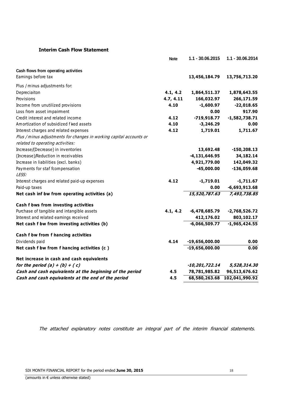### **Interim Cash Flow Statement**

|                                                                     | <b>Note</b> | 1.1 - 30.06.2015   | 1.1 - 30.06.2014 |
|---------------------------------------------------------------------|-------------|--------------------|------------------|
| Cash flows from operating activities                                |             |                    |                  |
| Eamings before tax                                                  |             | 13,456,184.79      | 13,756,713.20    |
| Plus / minus adjustments for:                                       |             |                    |                  |
| Depreciaiton                                                        | 4.1, 4.2    | 1,864,511.37       | 1,878,643.55     |
| Provisions                                                          | 4.7, 4.11   | 166,032.97         | 266,171.59       |
| Income from unutilized provisions                                   | 4.10        | $-1,600.97$        | $-22,018.65$     |
| Loss from asset impairment                                          |             | 0.00               | 917.90           |
| Credit interest and related income                                  | 4.12        | $-719,918.77$      | $-1,582,738.71$  |
| Amortization of subsidized f ked assets                             | 4.10        | $-3,246.29$        | 0.00             |
| Interest charges and related expenses                               | 4.12        | 1,719.01           | 1,711.67         |
| Plus / minus adjustments for changes in working capital accounts or |             |                    |                  |
| related to operating activities:                                    |             |                    |                  |
| Increase/(Decrease) in inventories                                  |             | 13,692.48          | $-150, 208.13$   |
| (Increase)/Reduction in receivables                                 |             | $-4, 131, 646.95$  | 34,182.14        |
| Increase in liabilities (excl. banks)                               |             | 4,921,779.00       | 142,049.32       |
| Payments for staf fcompensation                                     |             | $-45,000.00$       | $-136,059.68$    |
| LESS:                                                               |             |                    |                  |
| Interest charges and related paid-up expenses                       | 4.12        | $-1,719.01$        | $-1,711.67$      |
| Paid-up taxes                                                       |             | 0.00               | $-6,693,913.68$  |
| Net cash inf bw from operating activities (a)                       |             | 15,520,787.63      | 7,493,738.85     |
| Cash f bws from investing activities                                |             |                    |                  |
| Purchase of tangible and intangible assets                          | 4.1, 4.2    | $-6,478,685.79$    | $-2,768,526.72$  |
| Interest and related earnings received                              |             | 412,176.02         | 803,102.17       |
| Net cash f bw from investing activities (b)                         |             | $-6,066,509.77$    | $-1,965,424.55$  |
| Cash f bw from f hancing activities                                 |             |                    |                  |
| Dividends paid                                                      | 4.14        | $-19,656,000.00$   | 0.00             |
| Net cash f bw from f hancing activities (c)                         |             | $-19,656,000.00$   | 0.00             |
| Net increase in cash and cash equivalents                           |             |                    |                  |
| for the period $(a) + (b) + (c)$                                    |             | $-10, 201, 722.14$ | 5,528,314.30     |
| Cash and cash equivalents at the beginning of the period            | 4.5         | 78,781,985.82      | 96,513,676.62    |
| Cash and cash equivalents at the end of the period                  | 4.5         | 68,580,263.68      | 102,041,990.92   |
|                                                                     |             |                    |                  |

The attached explanatory notes constitute an integral part of the interim financial statements.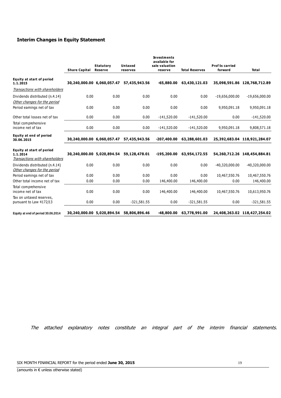### **Interim Changes in Equity Statement**

|                                                                                | <b>Share Capital</b> | <b>Statutory</b><br><b>Reserve</b> | Untaxed<br>reserves | <b>Investments</b><br>available for<br>sale valuation<br>reserve | <b>Total Reserves</b> | <b>Prof ts carried</b><br>forward | <b>Total</b>                 |
|--------------------------------------------------------------------------------|----------------------|------------------------------------|---------------------|------------------------------------------------------------------|-----------------------|-----------------------------------|------------------------------|
| <b>Equity at start of period</b><br>1.1.2015                                   |                      | 30,240,000.00 6,060,057.47         | 57,435,943.56       | $-65,880.00$                                                     | 63,430,121.03         |                                   | 35,098,591.86 128,768,712.89 |
| Transactions with shareholders                                                 |                      |                                    |                     |                                                                  |                       |                                   |                              |
| Dividends distributed (n.4.14)<br>Other changes for the period                 | 0.00                 | 0.00                               | 0.00                | 0.00                                                             | 0.00                  | $-19,656,000.00$                  | $-19,656,000.00$             |
| Period eamings net of tax                                                      | 0.00                 | 0.00                               | 0.00                | 0.00                                                             | 0.00                  | 9,950,091.18                      | 9,950,091.18                 |
| Other total losses net of tax                                                  | 0.00                 | 0.00                               | 0.00                | $-141,520.00$                                                    | $-141,520.00$         | 0.00                              | $-141,520.00$                |
| Total comprehensive<br>income net of tax                                       | 0.00                 | 0.00                               | 0.00                | $-141,520.00$                                                    | $-141,520.00$         | 9,950,091.18                      | 9,808,571.18                 |
| Equity at end of period<br>30.06.2015                                          |                      | 30,240,000.00 6,060,057.47         | 57,435,943.56       | $-207,400.00$                                                    | 63,288,601.03         |                                   | 25,392,683.04 118,921,284.07 |
| <b>Equity at start of period</b><br>1.1.2014<br>Transactions with shareholders |                      | 30,240,000.00 5,020,894.54         | 59,128,478.01       | $-195,200.00$                                                    | 63,954,172.55         |                                   | 54,260,712.26 148,454,884.81 |
| Dividends distributed (n.4.14)<br>Other changes for the period                 | 0.00                 | 0.00                               | 0.00                | 0.00                                                             | 0.00                  | -40,320,000.00                    | -40,320,000.00               |
| Period eamings net of tax                                                      | 0.00                 | 0.00                               | 0.00                | 0.00                                                             | 0.00                  | 10,467,550.76                     | 10,467,550.76                |
| Other total income net of tax                                                  | 0.00                 | 0.00                               | 0.00                | 146,400.00                                                       | 146,400.00            | 0.00                              | 146,400.00                   |
| Total comprehensive<br>income net of tax                                       | 0.00                 | 0.00                               | 0.00                | 146,400.00                                                       | 146,400.00            | 10,467,550.76                     | 10,613,950.76                |
| Tax on untaxed reserves,<br>pursuant to Law 4172/13                            | 0.00                 | 0.00                               | $-321,581.55$       | 0.00                                                             | $-321,581.55$         | 0.00                              | $-321,581.55$                |
| Equity at end of period 30.06.2014                                             |                      | 30,240,000.00 5,020,894.54         | 58,806,896.46       | $-48,800.00$                                                     | 63,778,991.00         |                                   | 24,408,263.02 118,427,254.02 |

The attached explanatory notes constitute an integral part of the interim financial statements.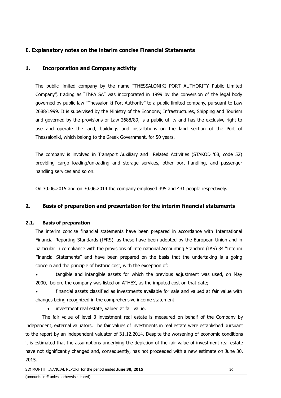### **Ε. Explanatory notes on the interim concise Financial Statements**

### **1. Incorporation and Company activity**

The public limited company by the name "THESSALONIKI PORT AUTHORITY Public Limited Company", trading as "ThPA SA" was incorporated in 1999 by the conversion of the legal body governed by public law "Thessaloniki Port Authority" to a public limited company, pursuant to Law 2688/1999. It is supervised by the Ministry of the Economy, Infrastructures, Shipping and Tourism and governed by the provisions of Law 2688/89, is a public utility and has the exclusive right to use and operate the land, buildings and installations on the land section of the Port of Thessaloniki, which belong to the Greek Government, for 50 years.

The company is involved in Transport Auxiliary and Related Activities (STAKOD '08, code 52) providing cargo loading/unloading and storage services, other port handling, and passenger handling services and so on.

On 30.06.2015 and on 30.06.2014 the company employed 395 and 431 people respectively.

### **2. Basis of preparation and presentation for the interim financial statements**

### **2.1. Basis of preparation**

The interim concise financial statements have been prepared in accordance with International Financial Reporting Standards (IFRS), as these have been adopted by the European Union and in particular in compliance with the provisions of International Accounting Standard (IAS) 34 "Interim Financial Statements" and have been prepared on the basis that the undertaking is a going concern and the principle of historic cost, with the exception of:

• tangible and intangible assets for which the previous adjustment was used, on May 2000, before the company was listed on ATHEX, as the imputed cost on that date;

• financial assets classified as investments available for sale and valued at fair value with changes being recognized in the comprehensive income statement.

• investment real estate, valued at fair value.

 The fair value of level 3 investment real estate is measured on behalf of the Company by independent, external valuators. The fair values of investments in real estate were established pursuant to the report by an independent valuator of 31.12.2014. Despite the worsening of economic conditions it is estimated that the assumptions underlying the depiction of the fair value of investment real estate have not significantly changed and, consequently, has not proceeded with a new estimate on June 30, 2015.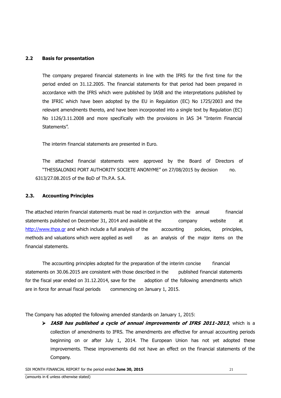### **2.2 Basis for presentation**

The company prepared financial statements in line with the IFRS for the first time for the period ended on 31.12.2005. The financial statements for that period had been prepared in accordance with the IFRS which were published by IASB and the interpretations published by the IFRIC which have been adopted by the EU in Regulation (EC) No 1725/2003 and the relevant amendments thereto, and have been incorporated into a single text by Regulation (EC) No 1126/3.11.2008 and more specifically with the provisions in IAS 34 "Interim Financial Statements".

The interim financial statements are presented in Euro.

 The attached financial statements were approved by the Board of Directors of "THESSALONIKI PORT AUTHORITY SOCIETE ANONYME" on 27/08/2015 by decision no. 6313/27.08.2015 of the BoD of Th.P.A. S.A.

### **2.3. Accounting Principles**

The attached interim financial statements must be read in conjunction with the annual financial statements published on December 31, 2014 and available at the company website at http://www.thpa.gr and which include a full analysis of the accounting policies, principles, methods and valuations which were applied as well as an analysis of the major items on the financial statements.

 The accounting principles adopted for the preparation of the interim concise financial statements on 30.06.2015 are consistent with those described in the published financial statements for the fiscal year ended on 31.12.2014, save for the adoption of the following amendments which are in force for annual fiscal periods commencing on January 1, 2015.

The Company has adopted the following amended standards on January 1, 2015:

 **IASB has published a cycle of annual improvements of IFRS 2011-2013**, which is a collection of amendments to IFRS. The amendments are effective for annual accounting periods beginning on or after July 1, 2014. The European Union has not yet adopted these improvements. These improvements did not have an effect on the financial statements of the Company.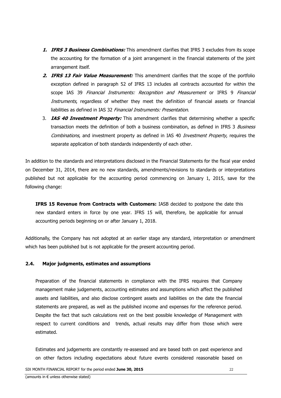- **1. IFRS 3 Business Combinations:** This amendment clarifies that IFRS 3 excludes from its scope the accounting for the formation of a joint arrangement in the financial statements of the joint arrangement itself.
- **2. IFRS 13 Fair Value Measurement:** This amendment clarifies that the scope of the portfolio exception defined in paragraph 52 of IFRS 13 includes all contracts accounted for within the scope IAS 39 Financial Instruments: Recognition and Measurement or IFRS 9 Financial Instruments, regardless of whether they meet the definition of financial assets or financial liabilities as defined in IAS 32 Financial Instruments: Presentation.
- 3. **IAS 40 Investment Property:** This amendment clarifies that determining whether a specific transaction meets the definition of both a business combination, as defined in IFRS 3 Business Combinations, and investment property as defined in IAS 40 Investment Property, requires the separate application of both standards independently of each other.

In addition to the standards and interpretations disclosed in the Financial Statements for the fiscal year ended on December 31, 2014, there are no new standards, amendments/revisions to standards or interpretations published but not applicable for the accounting period commencing on January 1, 2015, save for the following change:

**IFRS 15 Revenue from Contracts with Customers:** IASB decided to postpone the date this new standard enters in force by one year. IFRS 15 will, therefore, be applicable for annual accounting periods beginning on or after January 1, 2018.

Additionally, the Company has not adopted at an earlier stage any standard, interpretation or amendment which has been published but is not applicable for the present accounting period.

### **2.4. Major judgments, estimates and assumptions**

Preparation of the financial statements in compliance with the IFRS requires that Company management make judgements, accounting estimates and assumptions which affect the published assets and liabilities, and also disclose contingent assets and liabilities on the date the financial statements are prepared, as well as the published income and expenses for the reference period. Despite the fact that such calculations rest on the best possible knowledge of Management with respect to current conditions and trends, actual results may differ from those which were estimated.

Estimates and judgements are constantly re-assessed and are based both on past experience and on other factors including expectations about future events considered reasonable based on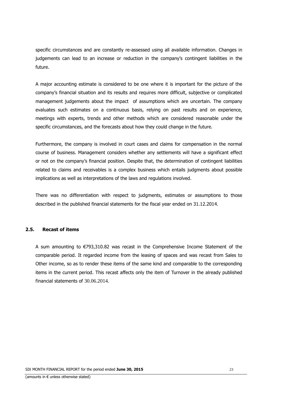specific circumstances and are constantly re-assessed using all available information. Changes in judgements can lead to an increase or reduction in the company's contingent liabilities in the future.

A major accounting estimate is considered to be one where it is important for the picture of the company's financial situation and its results and requires more difficult, subjective or complicated management judgements about the impact of assumptions which are uncertain. The company evaluates such estimates on a continuous basis, relying on past results and on experience, meetings with experts, trends and other methods which are considered reasonable under the specific circumstances, and the forecasts about how they could change in the future.

Furthermore, the company is involved in court cases and claims for compensation in the normal course of business. Management considers whether any settlements will have a significant effect or not on the company's financial position. Despite that, the determination of contingent liabilities related to claims and receivables is a complex business which entails judgments about possible implications as well as interpretations of the laws and regulations involved.

There was no differentiation with respect to judgments, estimates or assumptions to those described in the published financial statements for the fiscal year ended on 31.12.2014.

### **2.5. Recast of items**

A sum amounting to €793,310.82 was recast in the Comprehensive Income Statement of the comparable period. It regarded income from the leasing of spaces and was recast from Sales to Other income, so as to render these items of the same kind and comparable to the corresponding items in the current period. This recast affects only the item of Turnover in the already published financial statements of 30.06.2014.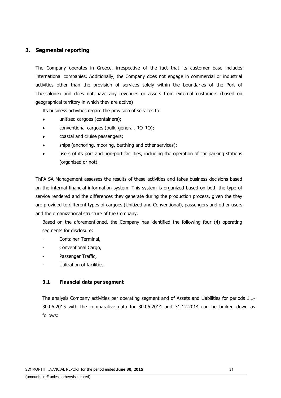### **3. Segmental reporting**

The Company operates in Greece, irrespective of the fact that its customer base includes international companies. Additionally, the Company does not engage in commercial or industrial activities other than the provision of services solely within the boundaries of the Port of Thessaloniki and does not have any revenues or assets from external customers (based on geographical territory in which they are active)

Its business activities regard the provision of services to:

- unitized cargoes (containers);
- conventional cargoes (bulk, general, RO-RO);
- coastal and cruise passengers;
- ships (anchoring, mooring, berthing and other services);
- users of its port and non-port facilities, including the operation of car parking stations (organized or not).

ThPA SA Management assesses the results of these activities and takes business decisions based on the internal financial information system. This system is organized based on both the type of service rendered and the differences they generate during the production process, given the they are provided to different types of cargoes (Unitized and Conventional), passengers and other users and the organizational structure of the Company.

Based on the aforementioned, the Company has identified the following four (4) operating segments for disclosure:

- Container Terminal,
- Conventional Cargo,
- Passenger Traffic,
- Utilization of facilities.

### **3.1 Financial data per segment**

The analysis Company activities per operating segment and of Assets and Liabilities for periods 1.1- 30.06.2015 with the comparative data for 30.06.2014 and 31.12.2014 can be broken down as follows: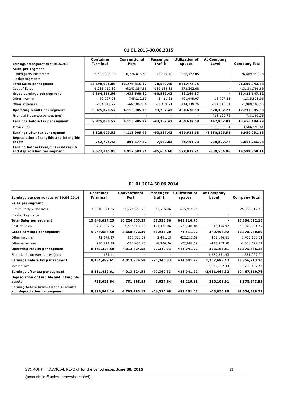| Earnings per segment as of 30.06.2015                                   | <b>Container</b><br><b>Terminal</b> | Conventional<br>Port | Passenger<br>traf t | Utilization of<br>spaces | At Company<br>Level | <b>Company Total</b> |
|-------------------------------------------------------------------------|-------------------------------------|----------------------|---------------------|--------------------------|---------------------|----------------------|
| Sales per segment                                                       |                                     |                      |                     |                          |                     |                      |
| - third party customers                                                 | 15,598,006.86                       | 10,276,815.47        | 78,649.40           | 656,472.05               |                     | 26,609,943.78        |
| - other segments                                                        |                                     |                      |                     |                          |                     |                      |
| Total Sales per segment                                                 | 15,598,006.86                       | 10,276,815.47        | 78,649.40           | 656,472.05               |                     | 26,609,943.78        |
| Cost of Sales                                                           | $-6,233,150.30$                     | -6,243,254.85        | $-139, 188.83$      | $-573,202.68$            |                     | $-13,188,796.66$     |
| Gross earnings per segment                                              | 9,364,856.56                        | 4,033,560.62         | -60,539.43          | 83,269.37                |                     | 13,421,147.12        |
| Other income                                                            | 62,007.93                           | 745,212.57           | 3,411.21            | 491,499.07               | 13,707.28           | 1,315,838.06         |
| Other expenses                                                          | $-601,843.97$                       | -662,867.20          | $-36,109.21$        | $-114, 139.76$           | $-584,040.01$       | $-1,999,000.15$      |
| Operating results per segment                                           | 8,825,020.52                        | 4,115,905.99         | -93,237.43          | 460,628.68               | $-570,332.73$       | 12,737,985.03        |
| Financial income/expenses (net)                                         |                                     |                      |                     |                          | 718,199.76          | 718,199.76           |
| Earnings before tax per segment                                         | 8,825,020.52                        | 4,115,905.99         | -93,237.43          | 460,628.68               | 147,867.03          | 13,456,184.79        |
| Income Tax                                                              |                                     |                      |                     |                          | $-3,506,093.61$     | $-3,506,093.61$      |
| Earnings after tax per segment                                          | 8,825,020.52                        | 4,115,905.99         | -93,237.43          | 460,628.68               | $-3,358,226.58$     | 9,950,091.18         |
| Depreciation of tangible and intangible<br>assets                       | 752,725.43                          | 801,677.82           | 7,632.83            | 68,401.23                | 230,827.77          | 1,861,265.08         |
| Earning before taxes, f hancial results<br>and depreciation per segment | 9,577,745.95                        | 4,917,583.81         | $-85,604.60$        | 529,029.91               | $-339,504.96$       | 14,599,250.11        |

### **01.01.2015-30.06.2015**

#### **01.01.2014-30.06.2014**

| Earnings per segment as of 30.06.2014                                   | <b>Container</b><br>Terminal | Conventional<br>Port | Passenger<br>traf t | Utilization of<br>spaces | At Company<br>Level | <b>Company Total</b> |
|-------------------------------------------------------------------------|------------------------------|----------------------|---------------------|--------------------------|---------------------|----------------------|
| Sales per segment                                                       |                              |                      |                     |                          |                     |                      |
| - third party customers                                                 | 15,348,624.25                | 10,224,555.29        | 87,515.86           | 645,916.76               |                     | 26,306,612.16        |
| - other segments                                                        |                              |                      |                     |                          |                     |                      |
| Total Sales per segment                                                 | 15,348,624.25                | 10,224,555.29        | 87,515.86           | 645,916.76               |                     | 26,306,612.16        |
| Cost of Sales                                                           | $-6,298,935.75$              | $-6,566,082.90$      | $-151,431.06$       | $-571,404.84$            | -340,496.92         | $-13,928,351.47$     |
| Gross earnings per segment                                              | 9,049,688.50                 | 3,658,472.39         | $-63,915.20$        | 74,511.92                | $-340,496.92$       | 12,378,260.69        |
| Other income                                                            | 42,379.29                    | 867,828.39           | 2,481.13            | 422,217.59               | 101,196.61          | 1,436,103.01         |
| Other expenses                                                          | -910,743.29                  | $-512,476.20$        | $-8,906.26$         | $-72,688.29$             | $-133,863.50$       | $-1,638,677.54$      |
| Operating results per segment                                           | 8,181,324.50                 | 4,013,824.58         | -70,340.33          | 424,041.22               | -373,163.81         | 12,175,686.16        |
| Financial income/expenses (net)                                         | 165.11                       |                      |                     |                          | 1,580,861.93        | 1,581,027.04         |
| Earnings before tax per segment                                         | 8,181,489.61                 | 4,013,824.58         | -70,340.33          | 424,041.22               | 1,207,698.12        | 13,756,713.20        |
| Income Tax                                                              |                              |                      |                     |                          | $-3,289,162.44$     | $-3,289,162.44$      |
| Earnings after tax per segment                                          | 8,181,489.61                 | 4,013,824.58         | -70,340.33          | 424,041.22               | $-2,081,464.32$     | 10,467,550.76        |
| Depreciation of tangible and intangible<br>lassets                      | 715,623.64                   | 781,668.55           | 6,024.64            | 65,219.81                | 310,106.91          | 1,878,643.55         |
| Earning before taxes, f hancial results<br>and depreciation per segment | 8,896,948.14                 | 4,795,493.13         | -64,315.69          | 489,261.03               | $-63,056.90$        | 14,054,329.71        |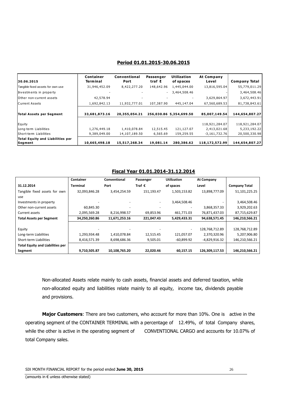### **Period 01.01.2015-30.06.2015**

| 30.06.2015                                  | Container<br><b>Terminal</b> | <b>Conventional</b><br>Port | <b>Passenger</b><br>traf t | <b>Utilization</b><br>of spaces | At Company<br>Level | <b>Company Total</b> |
|---------------------------------------------|------------------------------|-----------------------------|----------------------------|---------------------------------|---------------------|----------------------|
| Tangible fixed assets for own use           | 31,946,452.09                | 8,422,277.20                | 148,642.96                 | 1,445,044.00                    | 13,816,595.04       | 55,779,011.29        |
| Investments in property                     |                              |                             |                            | 3,464,508.46                    |                     | 3,464,508.46         |
| lOther non-current assets                   | 42,578.94                    |                             |                            |                                 | 3,629,864.97        | 3,672,443.91         |
| Current Assets                              | 1,692,842.13                 | 11,932,777.01               | 107,387.90                 | 445,147.04                      | 67,560,689.53       | 81,738,843.61        |
| Total Assets per Segment                    | 33,681,873.16                | 20,355,054.21               |                            | 256,030.86 5,354,699.50         | 85,007,149.54       | 144,654,807.27       |
| Equity                                      |                              |                             |                            |                                 | 118,921,284.07      | 118,921,284.07       |
| Long-term Liabilities                       | 1,276,449.18                 | 1,410,078.84                | 12,515.45                  | 121,127.07                      | 2,413,021.68        | 5,233,192.22         |
| Short-term Liabilities                      | 9,389,049.00                 | 14,107,189.50               | 6,565.69                   | 159,259.55                      | $-3,161,732.76$     | 20,500,330.98        |
| Total Equity and Liabilities per<br>Segment | 10,665,498.18                | 15,517,268.34               | 19,081.14                  | 280,386.62                      | 118,172,572.99      | 144,654,807.27       |

### **Fiscal Year 01.01.2014-31.12.2014**

|                                         | Container     | Conventional  | Passenger  | <b>Utilization</b> | At Company     |                      |
|-----------------------------------------|---------------|---------------|------------|--------------------|----------------|----------------------|
| 31.12.2014                              | Terminal      | Port          | Traf €     | of spaces          | Level          | <b>Company Total</b> |
| Tangible fixed assets for own           | 32,093,846.28 | 3,454,254.59  | 151,193.47 | 1,503,153.82       | 13,898,777.09  | 51,101,225.25        |
| use                                     |               |               |            |                    |                |                      |
| Investments in property                 |               |               |            | 3,464,508.46       |                | 3,464,508.46         |
| Other non-current assets                | 60,845.30     |               |            |                    | 3,868,357.33   | 3,929,202.63         |
| Current assets                          | 2,095,569.28  | 8,216,998.57  | 69,853.96  | 461,771.03         | 76,871,437.03  | 87,715,629.87        |
| <b>Total Assets per Segment</b>         | 34,250,260.86 | 11,671,253.16 | 221,047.43 | 5,429,433.31       | 94,638,571.45  | 146,210,566.21       |
|                                         |               |               |            |                    |                |                      |
| Equity                                  |               |               |            |                    | 128,768,712.89 | 128,768,712.89       |
| Long-term Liabilities                   | 1,293,934.48  | 1,410,078.84  | 12,515.45  | 121,057.07         | 2,370,320.96   | 5,207,906.80         |
| Short-term Liabilities                  | 8,416,571.39  | 8,698,686.36  | 9,505.01   | $-60,899.92$       | -4,829,916.32  | 146,210,566.21       |
| <b>Total Equity and Liabilities per</b> |               |               |            |                    |                |                      |
| Segment                                 | 9,710,505.87  | 10,108,765.20 | 22,020.46  | 60.157.15          | 126,309,117.53 | 146,210,566.21       |

Non-allocated Assets relate mainly to cash assets, financial assets and deferred taxation, while non-allocated equity and liabilities relate mainly to all equity, income tax, dividends payable and provisions.

**Major Customers**: There are two customers, who account for more than 10%. One is active in the operating segment of the CONTAINER TERMINAL with a percentage of 12.49%, of total Company shares, while the other is active in the operating segment of CONVENTIONAL CARGO and accounts for 10.07% of total Company sales.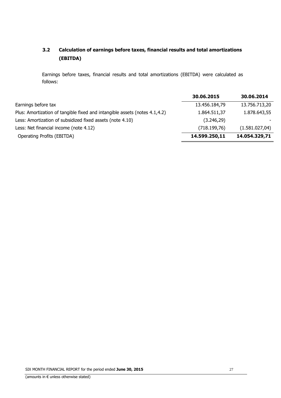### **3.2 Calculation of earnings before taxes, financial results and total amortizations (EBITDA)**

Earnings before taxes, financial results and total amortizations (EBITDA) were calculated as follows:

|                                                                            | 30.06.2015    | 30.06.2014     |
|----------------------------------------------------------------------------|---------------|----------------|
| Earnings before tax                                                        | 13.456.184,79 | 13.756.713,20  |
| Plus: Amortization of tangible fixed and intangible assets (notes 4.1,4.2) | 1.864.511,37  | 1.878.643,55   |
| Less: Amortization of subsidized fixed assets (note 4.10)                  | (3.246, 29)   |                |
| Less: Net financial income (note 4.12)                                     | (718.199,76)  | (1.581.027,04) |
| Operating Profits (EBITDA)                                                 | 14.599.250,11 | 14.054.329,71  |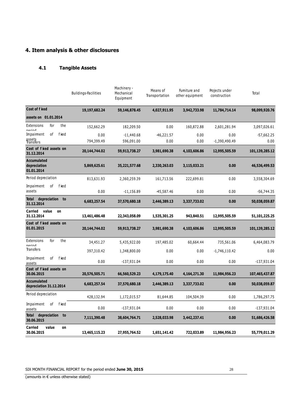### **4. Item analysis & other disclosures**

### **4.1 Tangible Assets**

|                                                  | <b>Buildings-Facilities</b> | Machinery -<br>Mechanical<br>Equipment | Means of<br>Transportation | Furniture and<br>other equipment | Projects under<br>construction | Total             |
|--------------------------------------------------|-----------------------------|----------------------------------------|----------------------------|----------------------------------|--------------------------------|-------------------|
| <b>Cost of f ked</b>                             | 19,197,682.24               | 59,146,878.45                          | 4,027,911.95               | 3,942,733.98                     | 11,784,714.14                  | 98,099,920.76     |
| assets on 01.01.2014                             |                             |                                        |                            |                                  |                                |                   |
| for<br>the<br>Extensions<br>narind               | 152,662.29                  | 182,209.50                             | 0.00                       | 160,872.88                       | 2,601,281.94                   | 3,097,026.61      |
| οf<br>fixed<br>Impairment                        | 0.00                        | $-11,440.68$                           | $-46,221.57$               | 0.00                             | 0.00                           | $-57,662.25$      |
| assets<br>Transfers                              | 794,399.49                  | 596,091.00                             | 0.00                       | 0.00                             | $-1,390,490.49$                | 0.00              |
| Cost of fixed assets on<br>31.12.2014            | 20,144,744.02               | 59,913,738.27                          | 3,981,690.38               | 4,103,606.86                     | 12,995,505.59                  | 101,139,285.12    |
| <b>Accumulated</b><br>depreciation<br>01.01.2014 | 5,869,625.61                | 35,221,577.68                          | 2,330,263.03               | 3,115,033.21                     | 0.00                           | 46,536,499.53     |
| Period depreciation                              | 813,631.93                  | 2,360,259.39                           | 161,713.56                 | 222,699.81                       | 0.00                           | 3,558,304.69      |
| Impairment<br>οf<br>fixed<br>assets              | 0.00                        | $-11,156.89$                           | -45,587.46                 | 0.00                             | 0.00                           | $-56,744.35$      |
| depreciation<br><b>Total</b><br>to<br>31.12.2014 | 6,683,257.54                | 37,570,680.18                          | 2,446,389.13               | 3,337,733.02                     | 0.00                           | 50,038,059.87     |
| <b>Carried</b><br>value<br>on<br>31.12.2014      | 13,461,486.48               | 22,343,058.09                          | 1,535,301.25               | 943,840.51                       | 12,995,505.59                  | 51,101,225.25     |
| Cost of f ked assets on<br>01.01.2015            | 20,144,744.02               | 59,913,738.27                          | 3,981,690.38               | 4,103,606.86                     | 12,995,505.59                  | 101, 139, 285. 12 |
| for<br>the<br>Extensions<br>narind               | 34,451.27                   | 5,435,922.00                           | 197,485.02                 | 60,664.44                        | 735,561.06                     | 6,464,083.79      |
| Transfers                                        | 397,310.42                  | 1,348,800.00                           | 0.00                       | 0.00                             | $-1,746,110.42$                | 0.00              |
| fixed<br>οf<br>Impairment<br>assets              | 0.00                        | $-137,931.04$                          | 0.00                       | 0.00                             | 0.00                           | $-137,931.04$     |
| Cost of fixed assets on<br>30.06.2015            | 20,576,505.71               | 66,560,529.23                          | 4,179,175.40               | 4,164,271.30                     | 11,984,956.23                  | 107,465,437.87    |
| <b>Accumulated</b><br>depreciation 31.12.2014    | 6,683,257.54                | 37,570,680.18                          | 2,446,389.13               | 3,337,733.02                     | 0.00                           | 50,038,059.87     |
| Period depreciation                              | 428,132.94                  | 1,172,015.57                           | 81,644.85                  | 104,504.39                       | 0.00                           | 1,786,297.75      |
| Impairment<br>of fixed<br>assets                 | 0.00                        | $-137,931.04$                          | 0.00                       | 0.00                             | 0.00                           | $-137,931.04$     |
| Total depreciation to<br>30.06.2015              | 7,111,390.48                | 38,604,764.71                          | 2,528,033.98               | 3,442,237.41                     | 0.00                           | 51,686,426.58     |
| <b>Carried</b><br>value<br>on<br>30.06.2015      | 13,465,115.23               | 27,955,764.52                          | 1,651,141.42               | 722,033.89                       | 11,984,956.23                  | 55,779,011.29     |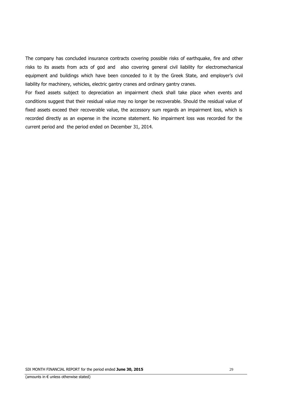The company has concluded insurance contracts covering possible risks of earthquake, fire and other risks to its assets from acts of god and also covering general civil liability for electromechanical equipment and buildings which have been conceded to it by the Greek State, and employer's civil liability for machinery, vehicles, electric gantry cranes and ordinary gantry cranes.

For fixed assets subject to depreciation an impairment check shall take place when events and conditions suggest that their residual value may no longer be recoverable. Should the residual value of fixed assets exceed their recoverable value, the accessory sum regards an impairment loss, which is recorded directly as an expense in the income statement. No impairment loss was recorded for the current period and the period ended on December 31, 2014.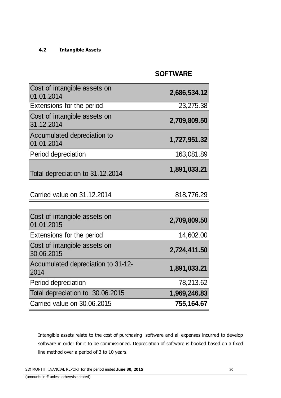### **4.2 Intangible Assets**

### **SOFTWARE**

| Cost of intangible assets on<br>01.01.2014 | 2,686,534.12 |
|--------------------------------------------|--------------|
| Extensions for the period                  | 23,275.38    |
| Cost of intangible assets on<br>31.12.2014 | 2,709,809.50 |
| Accumulated depreciation to<br>01.01.2014  | 1,727,951.32 |
| Period depreciation                        | 163,081.89   |
| Total depreciation to 31.12.2014           | 1,891,033.21 |
| Carried value on 31, 12, 2014              | 818,776.29   |
| Cost of intangible assets on<br>01.01.2015 | 2,709,809.50 |
| Extensions for the period                  | 14,602.00    |
| Cost of intangible assets on<br>30.06.2015 | 2,724,411.50 |
| Accumulated depreciation to 31-12-<br>2014 | 1,891,033.21 |
| Period depreciation                        | 78,213.62    |
| Total depreciation to 30.06.2015           | 1,969,246.83 |
| Carried value on 30.06.2015                | 755,164.67   |

Intangible assets relate to the cost of purchasing software and all expenses incurred to develop software in order for it to be commissioned. Depreciation of software is booked based on a fixed line method over a period of 3 to 10 years.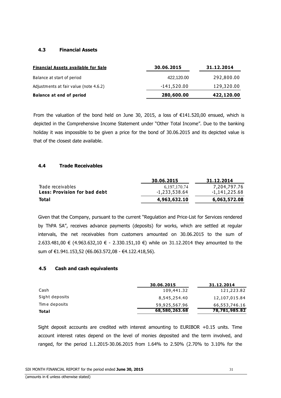### **4.3 Financial Assets**

| <b>Financial Assets available for Sale</b> | 30.06.2015    | 31.12.2014 |  |
|--------------------------------------------|---------------|------------|--|
| Balance at start of period                 | 422.120.00    | 292,800.00 |  |
| Adjustments at fair value (note 4.6.2)     | $-141,520.00$ | 129,320.00 |  |
| <b>Balance at end of period</b>            | 280,600.00    | 422,120.00 |  |

From the valuation of the bond held on June 30, 2015, a loss of  $\epsilon$ 141.520,00 ensued, which is depicted in the Comprehensive Income Statement under "Other Total Income". Due to the banking holiday it was impossible to be given a price for the bond of 30.06.2015 and its depicted value is that of the closest date available.

### **4.4 Trade Receivables**

|                                     | 30.06.2015    | 31.12.2014    |
|-------------------------------------|---------------|---------------|
| Trade receivables                   | 6.197.170.74  | 7,204,797.76  |
| <b>Less: Provision for bad debt</b> | -1,233,538.64 | -1,141,225.68 |
| Total                               | 4,963,632.10  | 6,063,572.08  |

Given that the Company, pursuant to the current "Regulation and Price-List for Services rendered by ThPA SA", receives advance payments (deposits) for works, which are settled at regular intervals, the net receivables from customers amounted on 30.06.2015 to the sum of 2.633.481,00 € (4.963.632,10 € - 2.330.151,10 €) while on 31.12.2014 they amounted to the sum of €1.941.153,52 (€6.063.572,08 - €4.122.418,56).

### **4.5 Cash and cash equivalents**

|                | 30.06.2015    | 31.12.2014    |
|----------------|---------------|---------------|
| Cash           | 109,441.32    | 121,223.82    |
| Sight deposits | 8,545,254.40  | 12,107,015.84 |
| Time deposits  | 59,925,567.96 | 66,553,746.16 |
| Total          | 68,580,263.68 | 78,781,985.82 |

Sight deposit accounts are credited with interest amounting to EURIBOR +0.15 units. Time account interest rates depend on the level of monies deposited and the term involved, and ranged, for the period 1.1.2015-30.06.2015 from 1.64% to 2.50% (2.70% to 3.10% for the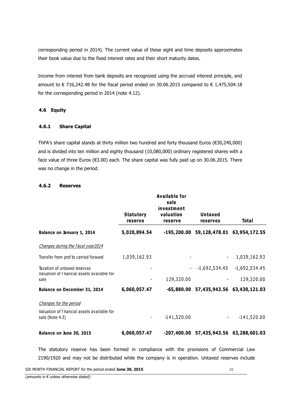corresponding period in 2014). The current value of these sight and time deposits approximates their book value due to the fixed interest rates and their short maturity dates.

Income from interest from bank deposits are recognized using the accrued interest principle, and amount to  $\in$  716,242.48 for the fiscal period ended on 30.06.2015 compared to  $\in$  1,475,504.18 for the corresponding period in 2014 (note 4.12).

### **4.6 Equity**

### **4.6.1 Share Capital**

ThPA's share capital stands at thirty million two hundred and forty thousand Euros (€30,240,000) and is divided into ten million and eighty thousand (10,080,000) ordinary registered shares with a face value of three Euros (€3.00) each. The share capital was fully paid up on 30.06.2015. There was no change in the period.

|                                                                             | <b>Available for</b><br>sale<br>investment |                      |                                          |                                 |  |
|-----------------------------------------------------------------------------|--------------------------------------------|----------------------|------------------------------------------|---------------------------------|--|
|                                                                             | <b>Statutory</b><br>reserve                | valuation<br>reserve | <b>Untaxed</b><br><b>reserves</b>        | <b>Total</b>                    |  |
| Balance on January 1, 2014                                                  | 5,020,894.54                               |                      | -195,200.00 59,128,478.01 63,954,172.55  |                                 |  |
| Changes during the f scal year2014                                          |                                            |                      |                                          |                                 |  |
| Transfer from prof ts carried forward                                       | 1,039,162.93                               |                      |                                          | 1,039,162.93                    |  |
| Taxation of untaxed reserves<br>Valuation of f hancial assets available for |                                            |                      |                                          | $-1,692,534.45$ $-1,692,534.45$ |  |
| sale                                                                        |                                            | 129,320.00           |                                          | 129,320.00                      |  |
| Balance on December 31, 2014                                                | 6,060,057.47                               |                      | $-65,880.00$ 57,435,943.56 63,430,121.03 |                                 |  |
| Changes for the period                                                      |                                            |                      |                                          |                                 |  |
| Valuation of f hancial assets available for<br>sale (Note 4.3)              |                                            | $-141,520.00$        |                                          | $-141,520.00$                   |  |
| Balance on June 30, 2015                                                    | 6,060,057.47                               |                      | -207,400.00 57,435,943.56 63,288,601.03  |                                 |  |

### **4.6.2 Reserves**

The statutory reserve has been formed in compliance with the provisions of Commercial Law 2190/1920 and may not be distributed while the company is in operation. Untaxed reserves include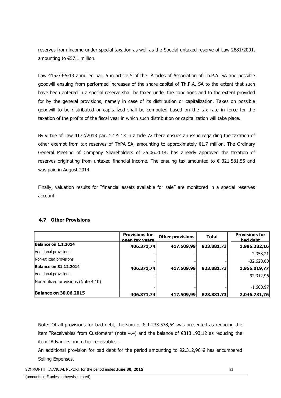reserves from income under special taxation as well as the Special untaxed reserve of Law 2881/2001, amounting to €57.1 million.

Law 4152/9-5-13 annulled par. 5 in article 5 of the Articles of Association of Th.P.A. SA and possible goodwill ensuing from performed increases of the share capital of Th.P.A. SA to the extent that such have been entered in a special reserve shall be taxed under the conditions and to the extent provided for by the general provisions, namely in case of its distribution or capitalization. Taxes on possible goodwill to be distributed or capitalized shall be computed based on the tax rate in force for the taxation of the profits of the fiscal year in which such distribution or capitalization will take place.

By virtue of Law 4172/2013 par. 12 & 13 in article 72 there ensues an issue regarding the taxation of other exempt from tax reserves of ThPA SA, amounting to approximately €1.7 million. The Ordinary General Meeting of Company Shareholders of 25.06.2014, has already approved the taxation of reserves originating from untaxed financial income. The ensuing tax amounted to  $\epsilon$  321.581,55 and was paid in August 2014.

Finally, valuation results for "financial assets available for sale" are monitored in a special reserves account.

### **4.7 Other Provisions**

|                                     | <b>Provisions for</b><br>open tax vears | <b>Other provisions</b> | <b>Total</b> | <b>Provisions for</b><br>bad debt |
|-------------------------------------|-----------------------------------------|-------------------------|--------------|-----------------------------------|
| Balance on 1.1.2014                 | 406.371,74                              | 417.509,99              | 823.881,73   | 1.986.282,16                      |
| Additional provisions               |                                         |                         |              | 2.358,21                          |
| Non-utilized provisions             |                                         |                         |              | $-32.620,60$                      |
| <b>Balance on 31.12.2014</b>        | 406.371,74                              | 417.509,99              | 823.881,73   | 1.956.019,77                      |
| Additional provisions               |                                         |                         |              | 92.312,96                         |
| Non-utilized provisions (Note 4.10) |                                         |                         |              |                                   |
|                                     |                                         |                         |              | $-1.600,97$                       |
| <b>Balance on 30.06.2015</b>        | 406.371,74                              | 417.509,99              | 823.881,73   | 2.046.731,76                      |

Note: Of all provisions for bad debt, the sum of  $\epsilon$  1.233.538,64 was presented as reducing the item "Receivables from Customers" (note 4.4) and the balance of €813.193,12 as reducing the item "Advances and other receivables".

An additional provision for bad debt for the period amounting to 92.312.96  $\epsilon$  has encumbered Selling Expenses.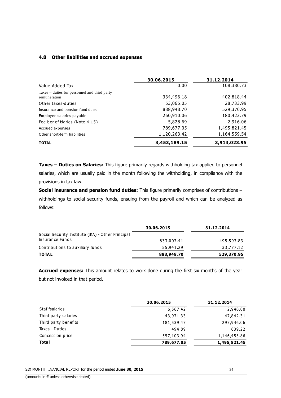### **4.8 Other liabilities and accrued expenses**

|                                                              | 30.06.2015   | 31.12.2014   |
|--------------------------------------------------------------|--------------|--------------|
| Value Added Tax                                              | 0.00         | 108,380.73   |
| Taxes – duties for personnel and third party<br>remuneration | 334,496.18   | 402,818.44   |
| Other taxes-duties                                           | 53,065.05    | 28,733.99    |
| Insurance and pension fund dues                              | 888,948.70   | 529,370.95   |
| Employee salaries payable                                    | 260,910.06   | 180,422.79   |
| Fee benef ciaries (Note 4.15)                                | 5,828.69     | 2,916.06     |
| Accrued expenses                                             | 789,677.05   | 1,495,821.45 |
| Other short-term liabilities                                 | 1,120,263.42 | 1,164,559.54 |
| <b>TOTAL</b>                                                 | 3,453,189.15 | 3,913,023.95 |

**Taxes – Duties on Salaries:** This figure primarily regards withholding tax applied to personnel salaries, which are usually paid in the month following the withholding, in compliance with the provisions in tax law.

**Social insurance and pension fund duties:** This figure primarily comprises of contributions – withholdings to social security funds, ensuing from the payroll and which can be analyzed as follows:

|                                                   | 30.06.2015 | 31.12.2014 |
|---------------------------------------------------|------------|------------|
| Social Security Institute (IKA) - Other Principal |            |            |
| Insurance Funds                                   | 833,007.41 | 495,593.83 |
| Contributions to auxiliary funds                  | 55,941.29  | 33,777.12  |
| <b>TOTAL</b>                                      | 888,948.70 | 529,370.95 |

**Accrued expenses:** This amount relates to work done during the first six months of the year but not invoiced in that period.

|                      | 30.06.2015 | 31.12.2014   |  |
|----------------------|------------|--------------|--|
| Staf fsalaries       | 6,567.42   | 2,940.00     |  |
| Third party salaries | 43,971.33  | 47,842.31    |  |
| Third party benef ts | 181,539.47 | 297,946.06   |  |
| Taxes - Duties       | 494.89     | 639.22       |  |
| Concession price     | 557,103.94 | 1,146,453.86 |  |
| <b>Total</b>         | 789,677.05 | 1,495,821.45 |  |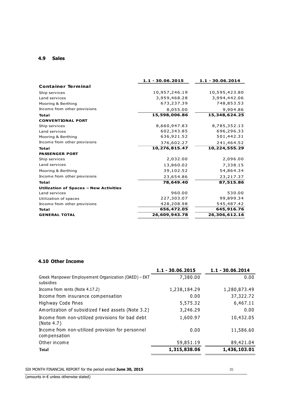#### **4.9 Sales**

| $1.1 - 30.06.2015$ | $1.1 - 30.06, 2014$ |
|--------------------|---------------------|
|                    |                     |
| 10,957,246.19      | 10,595,423.80       |
| 3,959,468.28       | 3,994,442.06        |
| 673,237.39         | 748,853.53          |
| 8,055.00           | 9,904.86            |
| 15,598,006.86      | 15,348,624.25       |
|                    |                     |
| 8,660,947.83       | 8,785,352.13        |
| 602,343.85         | 696,296.33          |
| 636,921.52         | 501,442.31          |
| 376,602.27         | 241,464.52          |
| 10,276,815.47      | 10, 224, 555. 29    |
|                    |                     |
| 2,032.00           | 2,096.00            |
| 13,860.02          | 7,338.15            |
| 39,102.52          | 54,864.34           |
| 23,654.86          | 23, 217. 37         |
| 78,649.40          | 87,515.86           |
|                    |                     |
| 960.00             | 530.00              |
| 227,303.07         | 99,899.34           |
| 428,208.98         | 545,487.42          |
| 656,472.05         | 645,916.76          |
| 26,609,943.78      | 26,306,612.16       |
|                    |                     |

### **4.10 Other Income**

|                                                                   | 1.1 - 30.06.2015 | 1.1 - 30.06.2014 |
|-------------------------------------------------------------------|------------------|------------------|
| Greek Manpower Employement Organization (OAED) – EKT<br>subsidies | 7,380.00         | 0.00             |
| Income from rents (Note 4.17.2)                                   | 1,238,184.29     | 1,280,873.49     |
| Income from insurance compensation                                | 0.00             | 37,322.72        |
| Highway Code Fines                                                | 5,575.32         | 6,467.11         |
| Amortization of subsidized fixed assets (Note 3.2)                | 3,246.29         | 0.00             |
| Income from non-utilized provisions for bad debt<br>(Note 4.7)    | 1,600.97         | 10,432.05        |
| Income from non-utilized provision for personnel<br>compensation  | 0.00             | 11,586.60        |
| Other income                                                      | 59,851.19        | 89,421.04        |
| <b>Total</b>                                                      | 1,315,838.06     | 1,436,103.01     |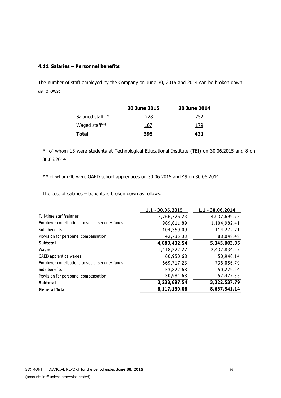### **4.11 Salaries – Personnel benefits**

The number of staff employed by the Company on June 30, 2015 and 2014 can be broken down as follows:

|                  | 30 June 2015 | 30 June 2014 |
|------------------|--------------|--------------|
| Salaried staff * | 228          | 252          |
| Waged staff**    | 167          | 179          |
| Total            | 395          | 431          |

**\*** of whom 13 were students at Technological Educational Institute (TEI) on 30.06.2015 and 8 on 30.06.2014

**\*\*** of whom 40 were OAED school apprentices on 30.06.2015 and 49 on 30.06.2014

The cost of salaries – benefits is broken down as follows:

|                                                 | $1.1 - 30.06.2015$ | $1.1 - 30.06.2014$ |
|-------------------------------------------------|--------------------|--------------------|
| Full-time staf fsalaries                        | 3,766,726.23       | 4,037,699.75       |
| Employer contributions to social security funds | 969,611.89         | 1,104,982.41       |
| Side benef ts                                   | 104,359.09         | 114,272.71         |
| Provision for personnel compensation            | 42,735.33          | 88,048.48          |
| <b>Subtotal</b>                                 | 4,883,432.54       | 5,345,003.35       |
| Wages                                           | 2,418,222.27       | 2,432,834.27       |
| OAED apprentice wages                           | 60,950.68          | 50,940.14          |
| Employer contributions to social security funds | 669,717.23         | 736,056.79         |
| Side benef ts                                   | 53,822.68          | 50,229.24          |
| Provision for personnel compensation            | 30,984.68          | 52,477.35          |
| <b>Subtotal</b>                                 | 3,233,697.54       | 3,322,537.79       |
| <b>General Total</b>                            | 8,117,130.08       | 8,667,541.14       |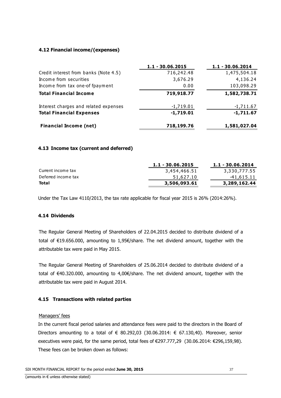### **4.12 Financial income/(expenses)**

|                                       | $1.1 - 30.06.2015$ | $1.1 - 30.06.2014$ |
|---------------------------------------|--------------------|--------------------|
| Credit interest from banks (Note 4.5) | 716,242.48         | 1,475,504.18       |
| Income from securities                | 3,676.29           | 4,136.24           |
| Income from tax one-of fpayment       | 0.00               | 103,098.29         |
| <b>Total Financial Income</b>         | 719,918.77         | 1,582,738.71       |
| Interest charges and related expenses | $-1,719.01$        | $-1,711.67$        |
| <b>Total Financial Expenses</b>       | $-1,719.01$        | $-1,711.67$        |
| <b>Financial Income (net)</b>         | 718,199.76         | 1,581,027.04       |

### **4.13 Income tax (current and deferred)**

|                     | $1.1 - 30.06, 2015$ | $1.1 - 30.06, 2014$ |
|---------------------|---------------------|---------------------|
| Current income tax  | 3,454,466.51        | 3,330,777.55        |
| Deferred income tax | 51,627.10           | -41,615.11          |
| Total               | 3,506,093.61        | 3,289,162.44        |

Under the Tax Law 4110/2013, the tax rate applicable for fiscal year 2015 is 26% (2014:26%).

### **4.14 Dividends**

The Regular General Meeting of Shareholders of 22.04.2015 decided to distribute dividend of a total of €19.656.000, amounting to 1,95€/share. The net dividend amount, together with the attributable tax were paid in May 2015.

The Regular General Meeting of Shareholders of 25.06.2014 decided to distribute dividend of a total of €40.320.000, amounting to 4,00€/share. The net dividend amount, together with the attributable tax were paid in August 2014.

### **4.15 Transactions with related parties**

### Managers' fees

In the current fiscal period salaries and attendance fees were paid to the directors in the Board of Directors amounting to a total of  $\in$  80.292,03 (30.06.2014:  $\in$  67.130,40). Moreover, senior executives were paid, for the same period, total fees of €297.777,29 (30.06.2014: €296,159,98). These fees can be broken down as follows: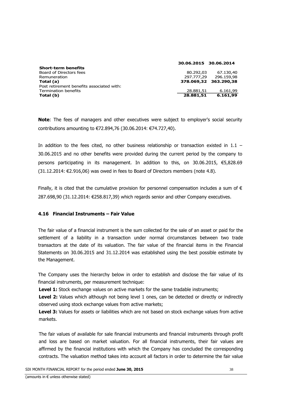|                                           | 30.06.2015 30.06.2014 |                       |
|-------------------------------------------|-----------------------|-----------------------|
| <b>Short-term benefits</b>                |                       |                       |
| Board of Directors fees                   | 80.292.03             | 67.130,40             |
| Remuneration                              | 297.777.29            | 296.159.98            |
| Total (a)                                 |                       | 378.069.32 363.290.38 |
| Post retirement benefits associated with: |                       |                       |
| Termination benefits                      | 28.881,51             | 6.161,99              |
| Total (b)                                 | 28.881,51             | 6.161,99              |

**Note**: The fees of managers and other executives were subject to employer's social security contributions amounting to €72.894,76 (30.06.2014: €74.727,40).

In addition to the fees cited, no other business relationship or transaction existed in  $1.1 -$ 30.06.2015 and no other benefits were provided during the current period by the company to persons participating in its management. In addition to this, on 30.06.2015, €5,828.69  $(31.12.2014: \text{ } \in 2.916,06)$  was owed in fees to Board of Directors members (note 4.8).

Finally, it is cited that the cumulative provision for personnel compensation includes a sum of  $\epsilon$ 287.698,90 (31.12.2014: €258.817,39) which regards senior and other Company executives.

### **4.16 Financial Instruments – Fair Value**

The fair value of a financial instrument is the sum collected for the sale of an asset or paid for the settlement of a liability in a transaction under normal circumstances between two trade transactors at the date of its valuation. The fair value of the financial items in the Financial Statements on 30.06.2015 and 31.12.2014 was established using the best possible estimate by the Management.

The Company uses the hierarchy below in order to establish and disclose the fair value of its financial instruments, per measurement technique:

**Level 1:** Stock exchange values on active markets for the same tradable instruments;

Level 2: Values which although not being level 1 ones, can be detected or directly or indirectly observed using stock exchange values from active markets;

**Level 3:** Values for assets or liabilities which are not based on stock exchange values from active markets.

The fair values of available for sale financial instruments and financial instruments through profit and loss are based on market valuation. For all financial instruments, their fair values are affirmed by the financial institutions with which the Company has concluded the corresponding contracts. The valuation method takes into account all factors in order to determine the fair value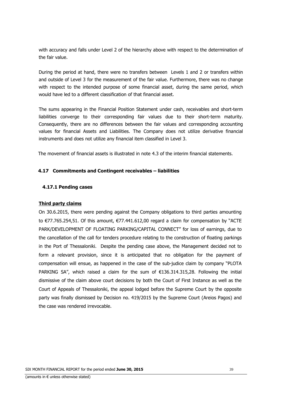with accuracy and falls under Level 2 of the hierarchy above with respect to the determination of the fair value.

During the period at hand, there were no transfers between Levels 1 and 2 or transfers within and outside of Level 3 for the measurement of the fair value. Furthermore, there was no change with respect to the intended purpose of some financial asset, during the same period, which would have led to a different classification of that financial asset.

The sums appearing in the Financial Position Statement under cash, receivables and short-term liabilities converge to their corresponding fair values due to their short-term maturity. Consequently, there are no differences between the fair values and corresponding accounting values for financial Assets and Liabilities. The Company does not utilize derivative financial instruments and does not utilize any financial item classified in Level 3.

The movement of financial assets is illustrated in note 4.3 of the interim financial statements.

### **4.17 Commitments and Contingent receivables – liabilities**

### **4.17.1 Pending cases**

### **Third party claims**

On 30.6.2015, there were pending against the Company obligations to third parties amounting to €77.765.254,51. Of this amount, €77.441.612,00 regard a claim for compensation by "ACTE PARK/DEVELOPMENT OF FLOATING PARKING/CAPITAL CONNECT" for loss of earnings, due to the cancellation of the call for tenders procedure relating to the construction of floating parkings in the Port of Thessaloniki. Despite the pending case above, the Management decided not to form a relevant provision, since it is anticipated that no obligation for the payment of compensation will ensue, as happened in the case of the sub-judice claim by company "PLOTA PARKING SA", which raised a claim for the sum of  $\epsilon$ 136.314.315,28. Following the initial dismissive of the claim above court decisions by both the Court of First Instance as well as the Court of Appeals of Thessaloniki, the appeal lodged before the Supreme Court by the opposite party was finally dismissed by Decision no. 419/2015 by the Supreme Court (Areios Pagos) and the case was rendered irrevocable.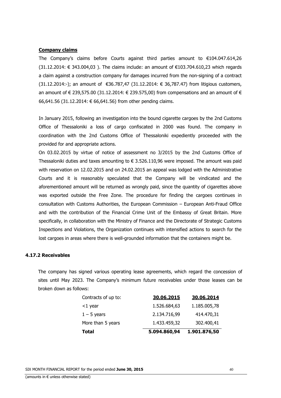#### **Company claims**

The Company's claims before Courts against third parties amount to €104.047.614,26 (31.12.2014: € 343.004,03 ). The claims include: an amount of €103.704.610,23 which regards a claim against a construction company for damages incurred from the non-signing of a contract (31.12.2014:-); an amount of €36.787,47 (31.12.2014: € 36,787.47) from litigious customers, an amount of € 239,575.00 (31.12.2014: € 239.575,00) from compensations and an amount of  $\epsilon$ 66,641.56 (31.12.2014: € 66,641.56) from other pending claims.

In January 2015, following an investigation into the bound cigarette cargoes by the 2nd Customs Office of Thessaloniki a loss of cargo confiscated in 2000 was found. The company in coordination with the 2nd Customs Office of Thessaloniki expediently proceeded with the provided for and appropriate actions.

On 03.02.2015 by virtue of notice of assessment no 3/2015 by the 2nd Customs Office of Thessaloniki duties and taxes amounting to  $\epsilon$  3.526.110,96 were imposed. The amount was paid with reservation on 12.02.2015 and on 24.02.2015 an appeal was lodged with the Administrative Courts and it is reasonably speculated that the Company will be vindicated and the aforementioned amount will be returned as wrongly paid, since the quantity of cigarettes above was exported outside the Free Zone. The procedure for finding the cargoes continues in consultation with Customs Authorities, the European Commission – European Anti-Fraud Office and with the contribution of the Financial Crime Unit of the Embassy of Great Britain. More specifically, in collaboration with the Ministry of Finance and the Directorate of Strategic Customs Inspections and Violations, the Organization continues with intensified actions to search for the lost cargoes in areas where there is well-grounded information that the containers might be.

#### **4.17.2 Receivables**

The company has signed various operating lease agreements, which regard the concession of sites until May 2023. The Company's minimum future receivables under those leases can be broken down as follows:

| Total               | 5.094.860,94 | 1.901.876,50 |
|---------------------|--------------|--------------|
| More than 5 years   | 1.433.459,32 | 302.400,41   |
| $1 - 5$ years       | 2.134.716,99 | 414.470,31   |
| <1 year             | 1.526.684,63 | 1.185.005,78 |
| Contracts of up to: | 30.06.2015   | 30.06.2014   |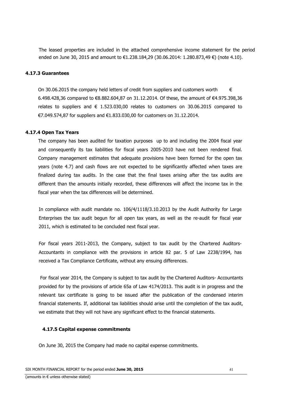The leased properties are included in the attached comprehensive income statement for the period ended on June 30, 2015 and amount to €1.238.184,29 (30.06.2014: 1.280.873,49 €) (note 4.10).

#### **4.17.3 Guarantees**

On 30.06.2015 the company held letters of credit from suppliers and customers worth  $\epsilon$ 6.498.428,36 compared to €8.882.604,87 on 31.12.2014. Of these, the amount of €4.975.398,36 relates to suppliers and  $\epsilon$  1.523.030,00 relates to customers on 30.06.2015 compared to €7.049.574,87 for suppliers and €1.833.030,00 for customers on 31.12.2014.

#### **4.17.4 Open Tax Years**

The company has been audited for taxation purposes up to and including the 2004 fiscal year and consequently its tax liabilities for fiscal years 2005-2010 have not been rendered final. Company management estimates that adequate provisions have been formed for the open tax years (note 4.7) and cash flows are not expected to be significantly affected when taxes are finalized during tax audits. In the case that the final taxes arising after the tax audits are different than the amounts initially recorded, these differences will affect the income tax in the fiscal year when the tax differences will be determined.

In compliance with audit mandate no. 106/4/1118/3.10.2013 by the Audit Authority for Large Enterprises the tax audit begun for all open tax years, as well as the re-audit for fiscal year 2011, which is estimated to be concluded next fiscal year.

For fiscal years 2011-2013, the Company, subject to tax audit by the Chartered Auditors-Accountants in compliance with the provisions in article 82 par. 5 of Law 2238/1994, has received a Tax Compliance Certificate, without any ensuing differences.

For fiscal year 2014, the Company is subject to tax audit by the Chartered Auditors- Accountants provided for by the provisions of article 65a of Law 4174/2013. This audit is in progress and the relevant tax certificate is going to be issued after the publication of the condensed interim financial statements. If, additional tax liabilities should arise until the completion of the tax audit, we estimate that they will not have any significant effect to the financial statements.

#### **4.17.5 Capital expense commitments**

On June 30, 2015 the Company had made no capital expense commitments.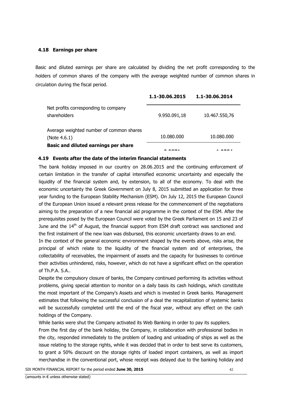### **4.18 Earnings per share**

Basic and diluted earnings per share are calculated by dividing the net profit corresponding to the holders of common shares of the company with the average weighted number of common shares in circulation during the fiscal period.

|                                                          | 1.1-30.06.2015 | 1.1-30.06.2014 |
|----------------------------------------------------------|----------------|----------------|
| Net profits corresponding to company<br>shareholders     | 9.950.091,18   | 10.467.550,76  |
| Average weighted number of common shares<br>(Note 4.6.1) | 10.080.000     | 10.080.000     |
| <b>Basic and diluted earnings per share</b>              |                |                |

### **4.19 Events after the date of the interim financial statements**

The bank holiday imposed in our country on 28.06.2015 and the continuing enforcement of certain limitation in the transfer of capital intensified economic uncertainty and especially the liquidity of the financial system and, by extension, to all of the economy. To deal with the economic uncertainty the Greek Government on July 8, 2015 submitted an application for three year funding to the European Stability Mechanism (ESM). On July 12, 2015 the European Council of the European Union issued a relevant press release for the commencement of the negotiations aiming to the preparation of a new financial aid programme in the context of the ESM. After the prerequisites posed by the European Council were voted by the Greek Parliament on 15 and 23 of June and the 14<sup>th</sup> of August, the financial support from ESM draft contract was sanctioned and the first instalment of the new loan was disbursed, this economic uncertainty draws to an end.

In the context of the general economic environment shaped by the events above, risks arise, the principal of which relate to the liquidity of the financial system and of enterprises, the collectability of receivables, the impairment of assets and the capacity for businesses to continue their activities unhindered, risks, however, which do not have a significant effect on the operation of Th.P.A. S.A..

Despite the compulsory closure of banks, the Company continued performing its activities without problems, giving special attention to monitor on a daily basis its cash holdings, which constitute the most important of the Company's Assets and which is invested in Greek banks. Management estimates that following the successful conclusion of a deal the recapitalization of systemic banks will be successfully completed until the end of the fiscal year, without any effect on the cash holdings of the Company.

While banks were shut the Company activated its Web Banking in order to pay its suppliers.

From the first day of the bank holiday, the Company, in collaboration with professional bodies in the city, responded immediately to the problem of loading and unloading of ships as well as the issue relating to the storage rights, while it was decided that in order to best serve its customers, to grant a 50% discount on the storage rights of loaded import containers, as well as import merchandise in the conventional port, whose receipt was delayed due to the banking holiday and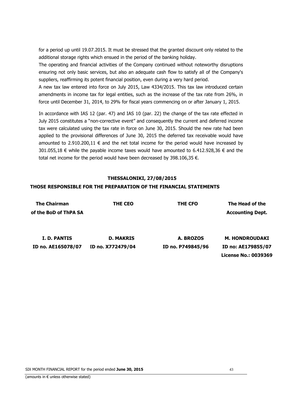for a period up until 19.07.2015. It must be stressed that the granted discount only related to the additional storage rights which ensued in the period of the banking holiday.

The operating and financial activities of the Company continued without noteworthy disruptions ensuring not only basic services, but also an adequate cash flow to satisfy all of the Company's suppliers, reaffirming its potent financial position, even during a very hard period.

A new tax law entered into force on July 2015, Law 4334/2015. This tax law introduced certain amendments in income tax for legal entities, such as the increase of the tax rate from 26%, in force until December 31, 2014, to 29% for fiscal years commencing on or after January 1, 2015.

In accordance with IAS 12 (par. 47) and IAS 10 (par. 22) the change of the tax rate effected in July 2015 constitutes a "non-corrective event" and consequently the current and deferred income tax were calculated using the tax rate in force on June 30, 2015. Should the new rate had been applied to the provisional differences of June 30, 2015 the deferred tax receivable would have amounted to 2.910.200,11  $\epsilon$  and the net total income for the period would have increased by 301.055,18 € while the payable income taxes would have amounted to 6.412.928,36 € and the total net income for the period would have been decreased by 398.106,35 €.

### **THESSALONIKI, 27/08/2015**

### **THOSE RESPONSIBLE FOR THE PREPARATION OF THE FINANCIAL STATEMENTS**

| <b>The Chairman</b>   | THE CEO           | THE CFO           | The Head of the         |
|-----------------------|-------------------|-------------------|-------------------------|
| of the BoD of ThPA SA |                   |                   | <b>Accounting Dept.</b> |
|                       |                   |                   |                         |
|                       |                   |                   |                         |
| I. D. PANTIS          | <b>D. MAKRIS</b>  | A. BROZOS         | <b>M. HONDROUDAKI</b>   |
| ID no. AE165078/07    | ID no. X772479/04 | ID no. P749845/96 | ID no: AE179855/07      |
|                       |                   |                   | License No.: 0039369    |